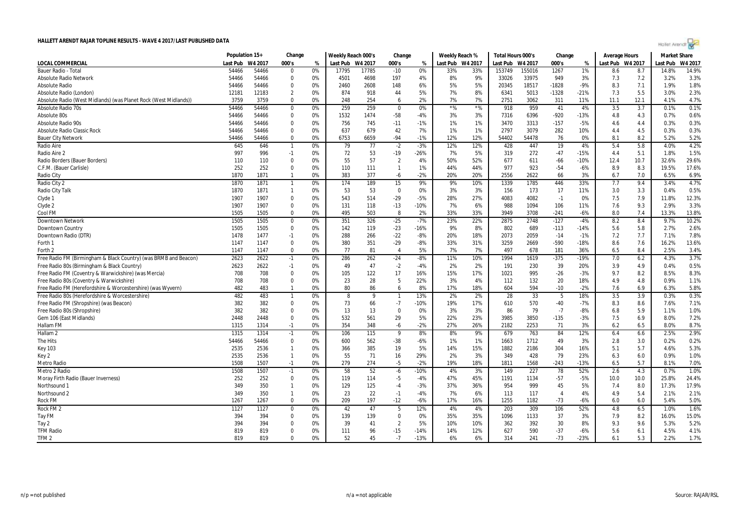

|                                                                  | Population 15+ |               | Change                        |          | Weekly Reach 000's |            | Change          |              | Weekly Reach % |                  | Total Hours 000's |              | Change         |               | <b>Average Hours</b> |            | <b>Market Share</b> |              |
|------------------------------------------------------------------|----------------|---------------|-------------------------------|----------|--------------------|------------|-----------------|--------------|----------------|------------------|-------------------|--------------|----------------|---------------|----------------------|------------|---------------------|--------------|
| LOCAL COMMERCIAL                                                 | Last Pub       | W4 2017       | 000's                         | %        | Last Pub W4 2017   |            | 000's           | %            |                | Last Pub W4 2017 | Last Pub W4 2017  |              | 000's          | %             | Last Pub W4 2017     |            | Last Pub            | W4 2017      |
| Bauer Radio - Total                                              | 54466          | 54466         | $\mathbf{0}$                  | 0%       | 17795              | 17785      | $-10$           | 0%           | 33%            | 33%              | 153749            | 155016       | 1267           | 1%            | 8.6                  | 8.7        | 14.8%               | 14.9%        |
| <b>Absolute Radio Network</b>                                    | 54466          | 54466         | $\Omega$                      | 0%       | 4501               | 4698       | 197             | 4%           | 8%             | 9%               | 33026             | 33975        | 949            | 3%            | 7.3                  | 7.2        | 3.2%                | 3.3%         |
| <b>Absolute Radio</b>                                            | 54466          | 54466         | $\overline{0}$                | 0%       | 2460               | 2608       | 148             | 6%           | 5%             | 5%               | 20345             | 18517        | $-1828$        | $-9%$         | 8.3                  | 7.1        | 1.9%                | 1.8%         |
| Absolute Radio (London)                                          | 12181          | 12183         | $\overline{2}$                | 0%       | 874                | 918        | 44              | 5%           | 7%             | 8%               | 6341              | 5013         | $-1328$        | $-21%$        | 7.3                  | 5.5        | 3.0%                | 2.3%         |
| Absolute Radio (West Midlands) (was Planet Rock (West Midlands)) | 3759           | 3759          | $\Omega$                      | 0%       | 248                | 254        | 6               | 2%           | 7%             | 7%               | 2751              | 3062         | 311            | 11%           | 11.1                 | 12.1       | 4.1%                | 4.7%         |
| Absolute Radio 70s                                               | 54466          | 54466         | $\overline{\mathbf{0}}$       | 0%       | 259                | 259        | $\overline{0}$  | 0%           | $*96$          | $*$ %            | 918               | 959          | 41             | 4%            | 3.5                  | 3.7        | 0.1%                | 0.1%         |
| Absolute 80s                                                     | 54466          | 54466         | $\Omega$                      | 0%       | 1532               | 1474       | $-58$           | $-4%$        | 3%             | 3%               | 7316              | 6396         | $-920$         | $-13%$        | 4.8                  | 4.3        | 0.7%                | 0.6%         |
| Absolute Radio 90s                                               | 54466          | 54466         | $\mathbf 0$                   | 0%       | 756                | 745        | $-11$           | $-1%$        | 1%             | 1%               | 3470              | 3313         | $-157$         | $-5%$         | 4.6                  | 4.4        | 0.3%                | 0.3%         |
| <b>Absolute Radio Classic Rock</b>                               | 54466          | 54466         | $\mathbf 0$                   | 0%       | 637                | 679        | 42              | 7%           | 1%             | 1%               | 2797              | 3079         | 282            | 10%           | 4.4                  | 4.5        | 0.3%                | 0.3%         |
| <b>Bauer City Network</b>                                        | 54466          | 54466         | $\mathbf 0$                   | 0%       | 6753               | 6659       | $-94$           | $-1%$        | 12%            | 12%              | 54402             | 54478        | 76             | 0%            | 8.1                  | 8.2        | 5.2%                | 5.2%         |
| Radio Aire                                                       | 645            | 646           | -1                            | 0%       | 79                 | 77         | $-2$            | $-3%$        | 12%            | 12%              | 428               | 447          | 19             | 4%            | 5.4                  | 5.8        | 4.0%                | 4.2%         |
| Radio Aire 2                                                     | 997            | 996           | $-1$                          | 0%       | 72                 | 53         | $-19$           | $-26%$       | 7%             | 5%               | 319               | 272          | $-47$          | $-15%$        | 4.4                  | 5.1        | 1.8%                | 1.5%         |
| Radio Borders (Bauer Borders)                                    | 110            | 110           | $\Omega$                      | 0%       | 55                 | 57         | $\overline{2}$  | 4%           | 50%            | 52%              | 677               | 611          | $-66$          | $-10%$        | 12.4                 | 10.7       | 32.6%               | 29.6%        |
| C.F.M. (Bauer Carlisle)                                          | 252            | 252           | $\overline{0}$                | 0%       | 110                | 111        | $\overline{1}$  | 1%           | 44%            | 44%              | 977               | 923          | $-54$          | $-6%$         | 8.9                  | 8.3        | 19.5%               | 17.6%        |
| Radio City                                                       | 1870           | 1871          | $\overline{1}$                | 0%       | 383                | 377        | -6              | $-2%$        | 20%            | 20%              | 2556              | 2622         | 66             | 3%            | 6.7                  | 7.0        | 6.5%                | 6.9%         |
| Radio City 2                                                     | 1870           | 1871          | -1                            | 0%       | 174                | 189        | 15              | 9%           | 9%             | 10%              | 1339              | 1785         | 446            | 33%           | 7.7                  | 9.4        | 3.4%                | 4.7%         |
| Radio City Talk                                                  | 1870           | 1871          | $\overline{1}$                | 0%       | 53                 | 53         | $\mathbf 0$     | 0%           | 3%             | 3%               | 156               | 173          | 17             | 11%           | 3.0                  | 3.3        | 0.4%                | 0.5%         |
| Clyde 1                                                          | 1907           | 1907          | $\mathbf 0$                   | 0%       | 543                | 514        | $-29$           | $-5%$        | 28%            | 27%              | 4083              | 4082         | $-1$           | 0%            | 7.5                  | 7.9        | 11.8%               | 12.3%        |
| Clyde 2                                                          | 1907           | 1907          | $\Omega$                      | 0%       | 131                | 118        | $-13$           | $-10%$       | 7%             | 6%               | 988               | 1094         | 106            | 11%           | 7.6                  | 9.3        | 2.9%                | 3.3%         |
| Cool FM                                                          | 1505           | 1505          | $\mathbf 0$                   | 0%       | 495                | 503        | -8              | 2%           | 33%            | 33%              | 3949              | 3708         | $-241$         | $-6%$         | 8.0                  | 7.4        | 13.3%               | 13.8%        |
| <b>Downtown Network</b>                                          | 1505           | 1505          | $\overline{0}$                | 0%       | 351                | 326        | $-25$           | $-7%$        | 23%            | 22%              | 2875              | 2748         | $-127$         | $-4%$         | 8.2                  | 8.4        | 9.7%                | 10.2%        |
| Downtown Country                                                 | 1505           | 1505          | $\mathbf 0$                   | 0%       | 142                | 119        | $-23$           | $-16%$       | 9%             | 8%               | 802               | 689          | $-113$         | $-14%$        | 5.6                  | 5.8        | 2.7%                | 2.6%         |
| Downtown Radio (DTR)                                             | 1478           | 1477          | $-1$                          | 0%       | 288                | 266        | $-22$           | $-8%$        | 20%            | 18%              | 2073              | 2059         | $-14$          | $-1%$         | 7.2                  | 7.7        | 7.1%                | 7.8%         |
| Forth 1                                                          | 1147           | 1147          | $\mathbf 0$                   | 0%       | 380                | 351        | -29             | $-8%$        | 33%            | 31%              | 3259              | 2669         | $-590$         | $-18%$        | 8.6                  | 7.6        | 16.2%               | 13.6%        |
| Forth 2                                                          | 1147           | 1147          | $\mathbf 0$                   | 0%       | 77                 | 81         | $\overline{4}$  | 5%           | 7%             | 7%               | 497               | 678          | 181            | 36%           | 6.5                  | 8.4        | 2.5%                | 3.4%         |
| Free Radio FM (Birmingham & Black Country) (was BRMB and Beacon) | 2623           | 2622          | $-1$                          | 0%       | 286                | 262        | $-24$           | $-8%$        | 11%            | 10%              | 1994              | 1619         | $-375$         | $-19%$        | 7.0                  | 6.2        | 4.3%                | 3.7%         |
| Free Radio 80s (Birmingham & Black Country)                      | 2623           | 2622          | $-1$                          | 0%       | 49                 | 47         | $-2$            | $-4%$        | 2%             | 2%               | 191               | 230          | 39             | 20%           | 3.9                  | 4.9        | 0.4%                | 0.5%         |
| Free Radio FM (Coventry & Warwickshire) (was Mercia)             | 708            | 708           | $\mathbf 0$                   | 0%       | 105                | 122        | 17              | 16%          | 15%            | 17%              | 1021              | 995          | $-26$          | $-3%$         | 9.7                  | 8.2        | 8.5%                | 8.3%         |
| Free Radio 80s (Coventry & Warwickshire)                         | 708            | 708           | $\overline{0}$                | 0%       | 23                 | 28         | 5               | 22%          | 3%             | 4%               | 112               | 132          | 20             | 18%           | 4.9                  | 4.8        | 0.9%                | 1.1%         |
| Free Radio FM (Herefordshire & Worcestershire) (was Wyvern)      | 482            | 483           | $\overline{1}$                | 0%       | 80                 | 86         | 6               | 8%           | 17%            | 18%              | 604               | 594          | $-10$          | $-2%$         | 7.6                  | 6.9        | 6.3%                | 5.8%         |
| Free Radio 80s (Herefordshire & Worcestershire)                  | 482            | 483           | $\mathbf{1}$                  | 0%       | 8                  | 9          | $\mathbf{1}$    | 13%          | 2%             | 2%               | 28                | 33           | 5              | 18%           | 3.5                  | 3.9        | 0.3%                | 0.3%         |
| Free Radio FM (Shropshire) (was Beacon)                          | 382            | 382           | $\mathbf 0$                   | 0%       | 73                 | 66         | $-7$            | $-10%$       | 19%            | 17%              | 610               | 570          | $-40$          | $-7%$         | 8.3                  | 8.6        | 7.6%                | 7.1%         |
| Free Radio 80s (Shropshire)                                      | 382            | 382           | $\mathbf 0$                   | 0%       | 13                 | 13         | $\Omega$        | 0%           | 3%             | 3%               | 86                | 79           | $-7$           | $-8%$         | 6.8                  | 5.9        | 1.1%                | 1.0%         |
| Gem 106 (East Midlands)                                          | 2448           | 2448          | $\overline{0}$                | 0%       | 532                | 561        | 29              | 5%           | 22%            | 23%              | 3985              | 3850         | $-135$         | $-3%$         | 7.5                  | 6.9        | 8.0%                | 7.2%         |
| Hallam FM                                                        | 1315           | 1314          | $-1$                          | 0%       | 354                | 348        | -6              | $-2%$        | 27%            | 26%              | 2182              | 2253         | 71             | 3%            | 6.2                  | 6.5        | 8.0%                | 8.7%         |
| Hallam <sub>2</sub>                                              | 1315           | 1314          |                               |          | 106                | 115        | 9               | 8%           | 8%             | 9%               |                   | 763          | 84             | 12%           | 6.4                  |            | 2.5%                | 2.9%         |
|                                                                  |                |               | $-1$                          | 0%       |                    |            |                 |              |                |                  | 679               |              |                |               |                      | 6.6        |                     |              |
| The Hits                                                         | 54466<br>2535  | 54466<br>2536 | $\mathbf 0$<br>$\overline{1}$ | 0%<br>0% | 600<br>366         | 562<br>385 | $-38$<br>19     | $-6%$<br>5%  | 1%<br>14%      | 1%<br>15%        | 1663<br>1882      | 1712<br>2186 | 49<br>304      | 3%<br>16%     | 2.8<br>5.1           | 3.0<br>5.7 | 0.2%<br>4.6%        | 0.2%<br>5.3% |
| <b>Key 103</b>                                                   |                |               | $\overline{1}$                |          |                    |            |                 |              |                |                  |                   |              |                |               |                      |            |                     |              |
| Key 2                                                            | 2535<br>1508   | 2536<br>1507  | $-1$                          | 0%<br>0% | 55<br>279          | 71<br>274  | 16<br>$-5$      | 29%<br>$-2%$ | 2%<br>19%      | 3%<br>18%        | 349<br>1811       | 428<br>1568  | 79<br>$-243$   | 23%<br>$-13%$ | 6.3<br>6.5           | 6.0<br>5.7 | 0.9%<br>8.1%        | 1.0%<br>7.0% |
| <b>Metro Radio</b>                                               |                |               |                               |          |                    |            |                 |              |                |                  |                   |              |                |               |                      |            |                     |              |
| Metro 2 Radio                                                    | 1508           | 1507          | $-1$                          | 0%       | 58                 | 52         | -6              | $-10%$       | 4%             | 3%               | 149               | 227          | 78             | 52%           | 2.6                  | 4.3        | 0.7%                | 1.0%         |
| Moray Firth Radio (Bauer Inverness)                              | 252            | 252           | $\mathbf 0$                   | 0%       | 119                | 114        | $-5$            | $-4%$        | 47%            | 45%              | 1191              | 1134         | $-57$          | $-5%$         | 10.0                 | 10.0       | 25.8%               | 24.4%        |
| Northsound 1                                                     | 349            | 350           | $\overline{1}$                | 0%       | 129                | 125        | $-4$            | $-3%$        | 37%            | 36%              | 954               | 999          | 45             | 5%            | 7.4                  | 8.0        | 17.3%               | 17.9%        |
| Northsound 2                                                     | 349            | 350           | -1                            | 0%       | 23                 | 22         | $-1$            | $-4%$        | 7%             | 6%               | 113               | 117          | $\overline{4}$ | 4%            | 4.9                  | 5.4        | 2.1%                | 2.1%         |
| <b>Rock FM</b>                                                   | 1267           | 1267          | $\mathbf 0$                   | 0%       | 209                | 197        | $-12$           | $-6%$        | 17%            | 16%              | 1255              | 1182         | $-73$          | $-6%$         | 6.0                  | 6.0        | 5.4%                | 5.0%         |
| Rock FM <sub>2</sub>                                             | 1127           | 1127          | $\mathbf 0$                   | 0%       | 42                 | 47         | $5\overline{5}$ | 12%          | 4%             | 4%               | 203               | 309          | 106            | 52%           | 4.8                  | 6.5        | 1.0%                | 1.6%         |
| Tay FM                                                           | 394            | 394           | $\overline{0}$                | 0%       | 139                | 139        | $\mathbf 0$     | 0%           | 35%            | 35%              | 1096              | 1133         | 37             | 3%            | 7.9                  | 8.2        | 16.0%               | 15.0%        |
| Tay 2                                                            | 394            | 394           | 0                             | 0%       | 39                 | 41         | $\overline{2}$  | 5%           | 10%            | 10%              | 362               | 392          | 30             | 8%            | 9.3                  | 9.6        | 5.3%                | 5.2%         |
| <b>TFM Radio</b>                                                 | 819            | 819           | $\mathbf 0$                   | 0%       | 111                | 96         | $-15$           | $-14%$       | 14%            | 12%              | 627               | 590          | $-37$          | $-6%$         | 5.6                  | 6.1        | 4.5%                | 4.1%         |
| TFM <sub>2</sub>                                                 | 819            | 819           | $\Omega$                      | 0%       | 52                 | 45         | $-7$            | $-13%$       | 6%             | 6%               | 314               | 241          | $-73$          | $-23%$        | 6.1                  | 5.3        | 2.2%                | 1.7%         |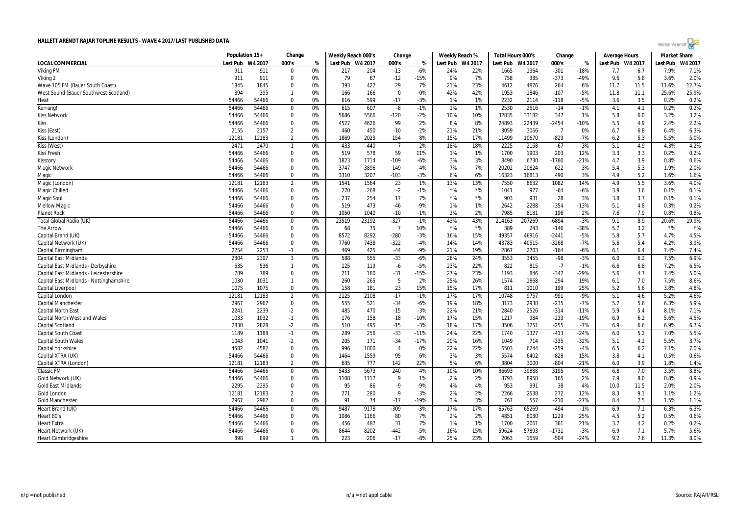| Hollet Arendt |  |  |  |
|---------------|--|--|--|
|               |  |  |  |

|                                         | Population 15+ |         | Change         |    | Weekly Reach 000's |       | Change         |        | Weekly Reach % |         | Total Hours 000's |         | Change         |        | Average Hours    |      | <b>Market Share</b> |         |
|-----------------------------------------|----------------|---------|----------------|----|--------------------|-------|----------------|--------|----------------|---------|-------------------|---------|----------------|--------|------------------|------|---------------------|---------|
| LOCAL COMMERCIAL                        | Last Pub       | W4 2017 | 000's          | %  | Last Pub W4 2017   |       | 000's          | %      | Last Pub       | W4 2017 | Last Pub          | W4 2017 | 000's          | %      | Last Pub W4 2017 |      | Last Pub            | W4 2017 |
| <b>Viking FM</b>                        | 911            | 911     | $\Omega$       | 0% | 217                | 204   | $-13$          | $-6%$  | 24%            | 22%     | 1665              | 1364    | $-301$         | $-18%$ | 7.7              | 6.7  | 7.9%                | 7.1%    |
| Viking 2                                | 911            | 911     | $\mathbf 0$    | 0% | 79                 | 67    | $-12$          | $-15%$ | 9%             | 7%      | 758               | 385     | $-373$         | $-49%$ | 9.6              | 5.8  | 3.6%                | 2.0%    |
| Wave 105 FM (Bauer South Coast)         | 1845           | 1845    | $\Omega$       | 0% | 393                | 422   | 29             | 7%     | 21%            | 23%     | 4612              | 4876    | 264            | 6%     | 11.7             | 11.5 | 11.6%               | 12.7%   |
| West Sound (Bauer Southwest Scotland)   | 394            | 395     | $\mathbf{1}$   | 0% | 166                | 166   | $\overline{0}$ | 0%     | 42%            | 42%     | 1953              | 1846    | $-107$         | $-5%$  | 11.8             | 11.1 | 25.6%               | 25.9%   |
| Heat                                    | 54466          | 54466   | $\Omega$       | 0% | 616                | 599   | $-17$          | $-3%$  | 1%             | 1%      | 2232              | 2114    | $-118$         | $-5%$  | 3.6              | 3.5  | 0.2%                | 0.2%    |
| Kerrang!                                | 54466          | 54466   | $\mathbf 0$    | 0% | 615                | 607   | -8             | $-1%$  | 1%             | 1%      | 2530              | 2516    | $-14$          | $-1%$  | 4.1              | 4.1  | 0.2%                | 0.2%    |
| <b>Kiss Network</b>                     | 54466          | 54466   | $\mathbf 0$    | 0% | 5686               | 5566  | $-120$         | $-2%$  | 10%            | 10%     | 32835             | 33182   | 347            | 1%     | 5.8              | 6.0  | 3.2%                | 3.2%    |
| Kiss                                    | 54466          | 54466   | $\mathbf 0$    | 0% | 4527               | 4626  | 99             | 2%     | 8%             | 8%      | 24893             | 22439   | $-2454$        | $-10%$ | 5.5              | 4.9  | 2.4%                | 2.2%    |
| Kiss (East)                             | 2155           | 2157    | 2              | 0% | 460                | 450   | $-10$          | $-2%$  | 21%            | 21%     | 3059              | 3066    | $\overline{7}$ | 0%     | 6.7              | 6.8  | 6.4%                | 6.3%    |
| Kiss (London)                           | 12181          | 12183   | $\overline{2}$ | 0% | 1869               | 2023  | 154            | 8%     | 15%            | 17%     | 11499             | 10670   | $-829$         | $-7%$  | 6.2              | 5.3  | 5.5%                | 5.0%    |
| Kiss (West)                             | 2471           | 2470    | $-1$           | 0% | 433                | 440   | $\overline{7}$ | 2%     | 18%            | 18%     | 2225              | 2158    | $-67$          | $-3%$  | 5.1              | 4.9  | 4.3%                | 4.2%    |
| <b>Kiss Fresh</b>                       | 54466          | 54466   | $\mathbf 0$    | 0% | 519                | 578   | 59             | 11%    | 1%             | 1%      | 1700              | 1903    | 203            | 12%    | 3.3              | 3.3  | 0.2%                | 0.2%    |
| Kisstory                                | 54466          | 54466   | $\Omega$       | 0% | 1823               | 1714  | $-109$         | $-6%$  | 3%             | 3%      | 8490              | 6730    | $-1760$        | $-21%$ | 4.7              | 3.9  | 0.8%                | 0.6%    |
| <b>Magic Network</b>                    | 54466          | 54466   | $\mathbf 0$    | 0% | 3747               | 3896  | 149            | 4%     | 7%             | 7%      | 20202             | 20824   | 622            | 3%     | 5.4              | 5.3  | 1.9%                | 2.0%    |
| Magic                                   | 54466          | 54466   | $\mathbf 0$    | 0% | 3310               | 3207  | $-103$         | $-3%$  | 6%             | 6%      | 16323             | 16813   | 490            | 3%     | 4.9              | 5.2  | 1.6%                | 1.6%    |
| Magic (London)                          | 12181          | 12183   | $\overline{2}$ | 0% | 1541               | 1564  | 23             | 1%     | 13%            | 13%     | 7550              | 8632    | 1082           | 14%    | 4.9              | 5.5  | 3.6%                | 4.0%    |
| Magic Chilled                           | 54466          | 54466   | 0              | 0% | 270                | 268   | $-2$           | $-1%$  | $*$ %          | $*$ %   | 1041              | 977     | $-64$          | $-6%$  | 3.9              | 3.6  | 0.1%                | 0.1%    |
| Magic Soul                              | 54466          | 54466   | 0              | 0% | 237                | 254   | 17             | 7%     | $*$ %          | $*$ %   | 903               | 931     | 28             | 3%     | 3.8              | 3.7  | 0.1%                | 0.1%    |
| <b>Mellow Magic</b>                     | 54466          | 54466   | $\mathbf 0$    | 0% | 519                | 473   | $-46$          | -9%    | 1%             | 1%      | 2642              | 2288    | $-354$         | $-13%$ | 5.1              | 4.8  | 0.3%                | 0.2%    |
| <b>Planet Rock</b>                      | 54466          | 54466   | $\Omega$       | 0% | 1050               | 1040  | $-10$          | $-1%$  | 2%             | 2%      | 7985              | 8181    | 196            | 2%     | 7.6              | 7.9  | 0.8%                | 0.8%    |
| <b>Total Global Radio (UK)</b>          | 54466          | 54466   | $\mathbf 0$    | 0% | 23519              | 23192 | $-327$         | $-1%$  | 43%            | 43%     | 214163            | 207269  | $-6894$        | $-3%$  | 9.1              | 8.9  | 20.6%               | 19.9%   |
| The Arrow                               | 54466          | 54466   | $\mathbf 0$    | 0% | 68                 | 75    | $\overline{7}$ | 10%    | $*$ %          | $*$ %   | 389               | 243     | $-146$         | -38%   | 5.7              | 3.2  | $*$ %               | $*$ %   |
| Capital Brand (UK)                      | 54466          | 54466   | $\mathbf 0$    | 0% | 8572               | 8292  | $-280$         | $-3%$  | 16%            | 15%     | 49357             | 46916   | $-2441$        | $-5%$  | 5.8              | 5.7  | 4.7%                | 4.5%    |
| Capital Network (UK)                    | 54466          | 54466   | $\mathbf 0$    | 0% | 7760               | 7438  | $-322$         | $-4%$  | 14%            | 14%     | 43783             | 40515   | $-3268$        | $-7%$  | 5.6              | 5.4  | 4.2%                | 3.9%    |
| Capital Birmingham                      | 2254           | 2253    | $-1$           | 0% | 469                | 425   | $-44$          | -9%    | 21%            | 19%     | 2867              | 2703    | $-164$         | $-6%$  | 6.1              | 6.4  | 7.4%                | 7.4%    |
| <b>Capital East Midlands</b>            | 2304           | 2307    | $\mathbf{3}$   | 0% | 588                | 555   | $-33$          | $-6%$  | 26%            | 24%     | 3553              | 3455    | $-98$          | $-3%$  | 6.0              | 6.2  | 7.5%                | 6.9%    |
| Capital East Midlands - Derbyshire      | 535            | 536     | $\mathbf{1}$   | 0% | 125                | 119   | -6             | $-5%$  | 23%            | 22%     | 822               | 815     | $-7$           | $-1%$  | 6.6              | 6.8  | 7.2%                | 6.5%    |
| Capital East Midlands - Leicestershire  | 789            | 789     | $\mathbf 0$    | 0% | 211                | 180   | $-31$          | $-15%$ | 27%            | 23%     | 1193              | 846     | $-347$         | $-29%$ | 5.6              | 4.7  | 7.4%                | 5.0%    |
| Capital East Midlands - Nottinghamshire | 1030           | 1031    | $\mathbf{1}$   | 0% | 260                | 265   | -5             | 2%     | 25%            | 26%     | 1574              | 1868    | 294            | 19%    | 6.1              | 7.0  | 7.5%                | 8.6%    |
| <b>Capital Liverpool</b>                | 1075           | 1075    | $\Omega$       | 0% | 158                | 181   | 23             | 15%    | 15%            | 17%     | 811               | 1010    | 199            | 25%    | 5.2              | 5.6  | 3.8%                | 4.8%    |
| Capital London                          | 12181          | 12183   | $\overline{2}$ | 0% | 2125               | 2108  | $-17$          | $-1%$  | 17%            | 17%     | 10748             | 9757    | $-991$         | $-9%$  | 5.1              | 4.6  | 5.2%                | 4.6%    |
| <b>Capital Manchester</b>               | 2967           | 2967    | $\mathbf 0$    | 0% | 555                | 521   | $-34$          | $-6%$  | 19%            | 18%     | 3173              | 2938    | $-235$         | $-7%$  | 5.7              | 5.6  | 6.3%                | 5.9%    |
| <b>Capital North East</b>               | 2241           | 2239    | $-2$           | 0% | 485                | 470   | $-15$          | $-3%$  | 22%            | 21%     | 2840              | 2526    | $-314$         | $-11%$ | 5.9              | 5.4  | 8.1%                | 7.1%    |
| <b>Capital North West and Wales</b>     | 1033           | 1032    | $-1$           | 0% | 176                | 158   | $-18$          | $-10%$ | 17%            | 15%     | 1217              | 984     | $-233$         | $-19%$ | 6.9              | 6.2  | 5.6%                | 4.5%    |
| <b>Capital Scotland</b>                 | 2830           | 2828    | $-2$           | 0% | 510                | 495   | $-15$          | $-3%$  | 18%            | 17%     | 3506              | 3251    | $-255$         | $-7%$  | 6.9              | 6.6  | 6.9%                | 6.7%    |
| <b>Capital South Coast</b>              | 1189           | 1188    | $-1$           | 0% | 289                | 256   | $-33$          | $-11%$ | 24%            | 22%     | 1740              | 1327    | $-413$         | $-24%$ | 6.0              | 5.2  | 7.0%                | 5.5%    |
| <b>Capital South Wales</b>              | 1043           | 1041    | $-2$           | 0% | 205                | 171   | $-34$          | $-17%$ | 20%            | 16%     | 1049              | 714     | $-335$         | $-32%$ | 5.1              | 4.2  | 5.5%                | 3.7%    |
| <b>Capital Yorkshire</b>                | 4582           | 4582    | 0              | 0% | 996                | 1000  | $\overline{4}$ | 0%     | 22%            | 22%     | 6503              | 6244    | $-259$         | $-4%$  | 6.5              | 6.2  | 7.1%                | 7.0%    |
| Capital XTRA (UK)                       | 54466          | 54466   | $\mathbf 0$    | 0% | 1464               | 1559  | 95             | 6%     | 3%             | 3%      | 5574              | 6402    | 828            | 15%    | 3.8              | 4.1  | 0.5%                | 0.6%    |
| Capital XTRA (London)                   | 12181          | 12183   | 2              | 0% | 635                | 777   | 142            | 22%    | 5%             | 6%      | 3804              | 3000    | $-804$         | $-21%$ | 6.0              | 3.9  | 1.8%                | 1.4%    |
| <b>Classic FM</b>                       | 54466          | 54466   | $\Omega$       | 0% | 5433               | 5673  | 240            | 4%     | 10%            | 10%     | 36693             | 39888   | 3195           | 9%     | 6.8              | 7.0  | 3.5%                | 3.8%    |
| Gold Network (UK)                       | 54466          | 54466   | $\mathbf 0$    | 0% | 1108               | 1117  | - 9            | 1%     | 2%             | 2%      | 8793              | 8958    | 165            | 2%     | 7.9              | 8.0  | 0.8%                | 0.9%    |
| <b>Gold East Midlands</b>               | 2295           | 2295    | $\mathbf 0$    | 0% | 95                 | 86    | $-9$           | -9%    | 4%             | 4%      | 953               | 991     | 38             | 4%     | 10.0             | 11.5 | 2.0%                | 2.0%    |
| Gold London                             | 12181          | 12183   | $\overline{2}$ | 0% | 271                | 280   | 9              | 3%     | 2%             | 2%      | 2266              | 2538    | 272            | 12%    | 8.3              | 9.1  | 1.1%                | 1.2%    |
| <b>Gold Manchester</b>                  | 2967           | 2967    | $\mathbf 0$    | 0% | 91                 | 74    | $-17$          | $-19%$ | 3%             | 3%      | 767               | 557     | $-210$         | $-27%$ | 8.4              | 7.5  | 1.5%                | 1.1%    |
| Heart Brand (UK)                        | 54466          | 54466   | $\mathbf 0$    | 0% | 9487               | 9178  | -309           | -3%    | 17%            | 17%     | 65763             | 65269   | $-494$         | $-1%$  | 6.9              | 7.1  | 6.3%                | 6.3%    |
| Heart 80's                              | 54466          | 54466   | 0              | 0% | 1086               | 1166  | 80             | 7%     | 2%             | 2%      | 4851              | 6080    | 1229           | 25%    | 4.5              | 5.2  | 0.5%                | 0.6%    |
| <b>Heart Extra</b>                      | 54466          | 54466   | $\mathbf 0$    | 0% | 456                | 487   | 31             | 7%     | 1%             | 1%      | 1700              | 2061    | 361            | 21%    | 3.7              | 4.2  | 0.2%                | 0.2%    |
| Heart Network (UK)                      | 54466          | 54466   | $\Omega$       | 0% | 8644               | 8202  | -442           | -5%    | 16%            | 15%     | 59624             | 57893   | $-1731$        | $-3%$  | 6.9              | 7.1  | 5.7%                | 5.6%    |
| <b>Heart Cambridgeshire</b>             | 898            | 899     |                | 0% | 223                | 206   | $-17$          | $-8%$  | 25%            | 23%     | 2063              | 1559    | $-504$         | $-24%$ | 9.2              | 7.6  | 11.3%               | 8.0%    |
|                                         |                |         |                |    |                    |       |                |        |                |         |                   |         |                |        |                  |      |                     |         |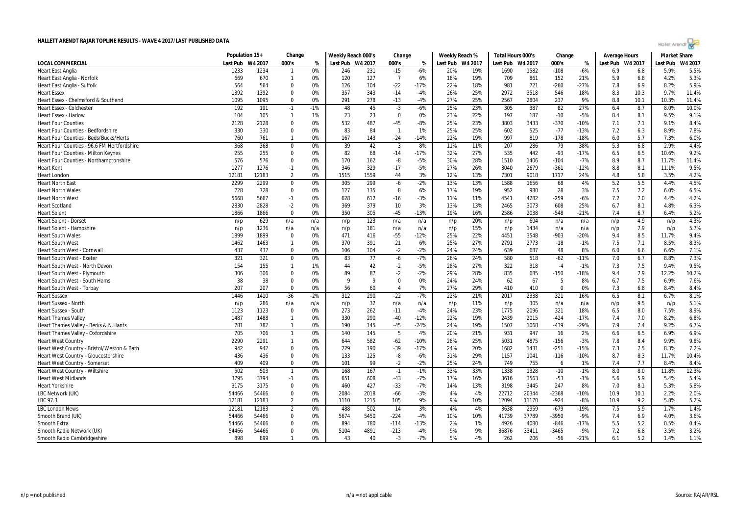| Hollet Arendt ro |  |  |  |
|------------------|--|--|--|
|                  |  |  |  |

|                                             | Population 15+ |         | Change         |       | Weekly Reach 000's |      | Change         |        | Weekly Reach % |                  | Total Hours 000's |         | Change   |        | <b>Average Hours</b> |      | <b>Market Share</b> |         |
|---------------------------------------------|----------------|---------|----------------|-------|--------------------|------|----------------|--------|----------------|------------------|-------------------|---------|----------|--------|----------------------|------|---------------------|---------|
| LOCAL COMMERCIAL                            | Last Pub       | W4 2017 | 000's          | %     | Last Pub W4 2017   |      | 000's          | %      |                | Last Pub W4 2017 | Last Pub          | W4 2017 | 000's    | %      | Last Pub W4 2017     |      | Last Pub            | W4 2017 |
| <b>Heart East Anglia</b>                    | 1233           | 1234    | $\mathbf{1}$   | 0%    | 246                | 231  | $-15$          | $-6%$  | 20%            | 19%              | 1690              | 1582    | $-108$   | $-6%$  | 6.9                  | 6.8  | 5.9%                | 5.5%    |
| Heart East Anglia - Norfolk                 | 669            | 670     | $\mathbf{1}$   | 0%    | 120                | 127  | $\overline{7}$ | 6%     | 18%            | 19%              | 709               | 861     | 152      | 21%    | 5.9                  | 6.8  | 4.2%                | 5.3%    |
| Heart East Anglia - Suffolk                 | 564            | 564     | $\mathbf 0$    | 0%    | 126                | 104  | $-22$          | $-17%$ | 22%            | 18%              | 981               | 721     | $-260$   | $-27%$ | 7.8                  | 6.9  | 8.2%                | 5.9%    |
| <b>Heart Essex</b>                          | 1392           | 1392    | $\Omega$       | 0%    | 357                | 343  | $-14$          | $-4%$  | 26%            | 25%              | 2972              | 3518    | 546      | 18%    | 8.3                  | 10.3 | 9.7%                | 11.4%   |
| Heart Essex - Chelmsford & Southend         | 1095           | 1095    | $\Omega$       | 0%    | 291                | 278  | $-13$          | $-4%$  | 27%            | 25%              | 2567              | 2804    | 237      | 9%     | 8.8                  | 10.1 | 10.3%               | 11.4%   |
| <b>Heart Essex - Colchester</b>             | 192            | 191     | $-1$           | $-1%$ | 48                 | 45   | $-3$           | -6%    | 25%            | 23%              | 305               | 387     | 82       | 27%    | 6.4                  | 8.7  | 8.0%                | 10.0%   |
| <b>Heart Essex - Harlow</b>                 | 104            | 105     | $\mathbf{1}$   | 1%    | 23                 | 23   | $\mathbf 0$    | 0%     | 23%            | 22%              | 197               | 187     | $-10$    | $-5%$  | 8.4                  | 8.1  | 9.5%                | 9.1%    |
| <b>Heart Four Counties</b>                  | 2128           | 2128    | $\mathbf 0$    | 0%    | 532                | 487  | $-45$          | $-8%$  | 25%            | 23%              | 3803              | 3433    | $-370$   | $-10%$ | 7.1                  | 7.1  | 9.1%                | 8.4%    |
| <b>Heart Four Counties - Bedfordshire</b>   | 330            | 330     | $\Omega$       | 0%    | 83                 | 84   | $\mathbf{1}$   | 1%     | 25%            | 25%              | 602               | 525     | $-77$    | $-13%$ | 7.2                  | 6.3  | 8.9%                | 7.8%    |
| Heart Four Counties - Beds/Bucks/Herts      | 760            | 761     | $\overline{1}$ | 0%    | 167                | 143  | $-24$          | $-14%$ | 22%            | 19%              | 997               | 819     | $-178$   | $-18%$ | 6.0                  | 5.7  | 7.3%                | 6.0%    |
| Heart Four Counties - 96.6 FM Hertfordshire | 368            | 368     | $\mathbf 0$    | 0%    | 39                 | 42   | $\overline{3}$ | 8%     | 11%            | 11%              | 207               | 286     | 79       | 38%    | 5.3                  | 6.8  | 2.9%                | 4.4%    |
| <b>Heart Four Counties - Milton Keynes</b>  | 255            | 255     | $\mathbf 0$    | 0%    | 82                 | 68   | $-14$          | $-17%$ | 32%            | 27%              | 535               | 442     | $-93$    | $-17%$ | 6.5                  | 6.5  | 10.6%               | 9.2%    |
| Heart Four Counties - Northamptonshire      | 576            | 576     | $\mathbf 0$    | 0%    | 170                | 162  | -8             | $-5%$  | 30%            | 28%              | 1510              | 1406    | $-104$   | $-7%$  | 8.9                  | 8.7  | 11.7%               | 11.4%   |
| <b>Heart Kent</b>                           | 1277           | 1276    | $-1$           | 0%    | 346                | 329  | $-17$          | $-5%$  | 27%            | 26%              | 3040              | 2679    | $-361$   | $-12%$ | 8.8                  | 8.1  | 11.1%               | 9.5%    |
| <b>Heart London</b>                         | 12181          | 12183   | $\overline{2}$ | 0%    | 1515               | 1559 | 44             | 3%     | 12%            | 13%              | 7301              | 9018    | 1717     | 24%    | 4.8                  | 5.8  | 3.5%                | 4.2%    |
| <b>Heart North East</b>                     | 2299           | 2299    | $\mathbf 0$    | 0%    | 305                | 299  | $-6$           | $-2%$  | 13%            | 13%              | 1588              | 1656    | 68       | 4%     | 5.2                  | 5.5  | 4.4%                | 4.5%    |
| <b>Heart North Wales</b>                    | 728            | 728     | $\mathbf 0$    | 0%    | 127                | 135  | 8              | 6%     | 17%            | 19%              | 952               | 980     | 28       | 3%     | 7.5                  | 7.2  | 6.0%                | 6.5%    |
| <b>Heart North West</b>                     | 5668           | 5667    | $-1$           | 0%    | 628                | 612  | $-16$          | $-3%$  | 11%            | 11%              | 4541              | 4282    | $-259$   | $-6%$  | 7.2                  | 7.0  | 4.4%                | 4.2%    |
| <b>Heart Scotland</b>                       | 2830           | 2828    | $-2$           | 0%    | 369                | 379  | 10             | 3%     | 13%            | 13%              | 2465              | 3073    | 608      | 25%    | 6.7                  | 8.1  | 4.8%                | 6.3%    |
| <b>Heart Solent</b>                         | 1866           | 1866    | $\mathbf 0$    | 0%    | 350                | 305  | $-45$          | $-13%$ | 19%            | 16%              | 2586              | 2038    | $-548$   | $-21%$ | 7.4                  | 6.7  | 6.4%                | 5.2%    |
| <b>Heart Solent - Dorset</b>                | n/p            | 629     | n/a            | n/a   | n/p                | 123  | n/a            | n/a    | n/p            | 20%              | n/p               | 604     | n/a      | n/a    | n/p                  | 4.9  | n/p                 | 4.3%    |
| Heart Solent - Hampshire                    | n/p            | 1236    | n/a            | n/a   | n/p                | 181  | n/a            | n/a    | n/p            | 15%              | n/p               | 1434    | n/a      | n/a    | n/p                  | 7.9  | n/p                 | 5.7%    |
| <b>Heart South Wales</b>                    | 1899           | 1899    | $\Omega$       | 0%    | 471                | 416  | $-55$          | $-12%$ | 25%            | 22%              | 4451              | 3548    | $-903$   | $-20%$ | 9.4                  | 8.5  | 11.7%               | 9.4%    |
| <b>Heart South West</b>                     | 1462           | 1463    | $\mathbf{1}$   | 0%    | 370                | 391  | 21             | 6%     | 25%            | 27%              | 2791              | 2773    | $-18$    | $-1%$  | 7.5                  | 7.1  | 8.5%                | 8.3%    |
| Heart South West - Cornwall                 | 437            | 437     | $\Omega$       | 0%    | 106                | 104  | $-2$           | $-2%$  | 24%            | 24%              | 639               | 687     | 48       | 8%     | 6.0                  | 6.6  | 6.6%                | 7.1%    |
| <b>Heart South West - Exeter</b>            | 321            | 321     | $\mathbf 0$    | 0%    | 83                 | 77   | -6             | $-7%$  | 26%            | 24%              | 580               | 518     | $-62$    | $-11%$ | 7.0                  | 6.7  | 8.8%                | 7.3%    |
| Heart South West - North Devon              | 154            | 155     | $\mathbf{1}$   | 1%    | 44                 | 42   | $-2$           | $-5%$  | 28%            | 27%              | 322               | 318     | $-4$     | $-1%$  | 7.3                  | 7.5  | 9.4%                | 9.5%    |
| Heart South West - Plymouth                 | 306            | 306     | 0              | 0%    | 89                 | 87   | $-2$           | $-2%$  | 29%            | 28%              | 835               | 685     | $-150$   | $-18%$ | 9.4                  | 7.9  | 12.2%               | 10.2%   |
| Heart South West - South Hams               | 38             | 38      | $\mathbf 0$    | 0%    | 9                  | 9    | $\overline{0}$ | 0%     | 24%            | 24%              | 62                | 67      | -5       | 8%     | 6.7                  | 7.5  | 6.9%                | 7.6%    |
| Heart South West - Torbay                   | 207            | 207     | $\Omega$       | 0%    | 56                 | 60   | $\overline{4}$ | 7%     | 27%            | 29%              | 410               | 410     | $\Omega$ | 0%     | 7.3                  | 6.8  | 8.4%                | 8.4%    |
| <b>Heart Sussex</b>                         | 1446           | 1410    | $-36$          | $-2%$ | 312                | 290  | $-22$          | $-7%$  | 22%            | 21%              | 2017              | 2338    | 321      | 16%    | 6.5                  | 8.1  | 6.7%                | 8.1%    |
| <b>Heart Sussex - North</b>                 | n/p            | 286     | n/a            | n/a   | n/p                | 32   | n/a            | n/a    | n/p            | 11%              | n/p               | 305     | n/a      | n/a    | n/p                  | 9.5  | n/p                 | 5.1%    |
| Heart Sussex - South                        | 1123           | 1123    | $\mathbf 0$    | 0%    | 273                | 262  | $-11$          | $-4%$  | 24%            | 23%              | 1775              | 2096    | 321      | 18%    | 6.5                  | 8.0  | 7.5%                | 8.9%    |
| <b>Heart Thames Valley</b>                  | 1487           | 1488    | $\overline{1}$ | 0%    | 330                | 290  | $-40$          | $-12%$ | 22%            | 19%              | 2439              | 2015    | $-424$   | $-17%$ | 7.4                  | 7.0  | 8.2%                | 6.8%    |
| Heart Thames Valley - Berks & N.Hants       | 781            | 782     | $\mathbf{1}$   | 0%    | 190                | 145  | $-45$          | $-24%$ | 24%            | 19%              | 1507              | 1068    | $-439$   | $-29%$ | 7.9                  | 7.4  | 9.2%                | 6.7%    |
| Heart Thames Valley - Oxfordshire           | 705            | 706     | $\mathbf{1}$   | 0%    | 140                | 145  | 5              | 4%     | 20%            | 21%              | 931               | 947     | 16       | 2%     | 6.6                  | 6.5  | 6.9%                | 6.9%    |
| <b>Heart West Country</b>                   | 2290           | 2291    | $\mathbf{1}$   | 0%    | 644                | 582  | $-62$          | $-10%$ | 28%            | 25%              | 5031              | 4875    | $-156$   | $-3%$  | 7.8                  | 8.4  | 9.9%                | 9.8%    |
| Heart West Country - Bristol/Weston & Bath  | 942            | 942     | $\mathbf 0$    | 0%    | 229                | 190  | $-39$          | $-17%$ | 24%            | 20%              | 1682              | 1431    | $-251$   | $-15%$ | 7.3                  | 7.5  | 8.3%                | 7.2%    |
| Heart West Country - Gloucestershire        | 436            | 436     | $\mathbf 0$    | 0%    | 133                | 125  | -8             | $-6%$  | 31%            | 29%              | 1157              | 1041    | $-116$   | $-10%$ | 8.7                  | 8.3  | 11.7%               | 10.4%   |
| Heart West Country - Somerset               | 409            | 409     | $\Omega$       | 0%    | 101                | 99   | $-2$           | $-2%$  | 25%            | 24%              | 749               | 755     | -6       | 1%     | 7.4                  | 7.7  | 8.4%                | 8.4%    |
| Heart West Country - Wiltshire              | 502            | 503     | $\overline{1}$ | 0%    | 168                | 167  | $-1$           | $-1%$  | 33%            | 33%              | 1338              | 1328    | $-10$    | $-1%$  | 8.0                  | 8.0  | 11.8%               | 12.3%   |
| <b>Heart West Midlands</b>                  | 3795           | 3794    | $-1$           | 0%    | 651                | 608  | $-43$          | $-7%$  | 17%            | 16%              | 3616              | 3563    | $-53$    | $-1%$  | 5.6                  | 5.9  | 5.4%                | 5.4%    |
| <b>Heart Yorkshire</b>                      | 3175           | 3175    | $\mathbf 0$    | 0%    | 460                | 427  | $-33$          | $-7%$  | 14%            | 13%              | 3198              | 3445    | 247      | 8%     | 7.0                  | 8.1  | 5.3%                | 5.8%    |
| LBC Network (UK)                            | 54466          | 54466   | $\mathbf 0$    | 0%    | 2084               | 2018 | $-66$          | $-3%$  | 4%             | 4%               | 22712             | 20344   | $-2368$  | $-10%$ | 10.9                 | 10.1 | 2.2%                | 2.0%    |
| LBC 97.3                                    | 12181          | 12183   | $\overline{2}$ | 0%    | 1110               | 1215 | 105            | 9%     | 9%             | 10%              | 12094             | 11170   | $-924$   | $-8%$  | 10.9                 | 9.2  | 5.8%                | 5.2%    |
| <b>LBC</b> London News                      | 12181          | 12183   | $\overline{2}$ | 0%    | 488                | 502  | 14             | 3%     | 4%             | 4%               | 3638              | 2959    | $-679$   | $-19%$ | 7.5                  | 5.9  | 1.7%                | 1.4%    |
| Smooth Brand (UK)                           | 54466          | 54466   | $\mathbf 0$    | 0%    | 5674               | 5450 | $-224$         | -4%    | 10%            | 10%              | 41739             | 37789   | $-3950$  | $-9%$  | 7.4                  | 6.9  | 4.0%                | 3.6%    |
| Smooth Extra                                | 54466          | 54466   | $\mathbf 0$    | 0%    | 894                | 780  | $-114$         | $-13%$ | 2%             | 1%               | 4926              | 4080    | $-846$   | $-17%$ | 5.5                  | 5.2  | 0.5%                | 0.4%    |
| Smooth Radio Network (UK)                   | 54466          | 54466   | $\mathbf 0$    | 0%    | 5104               | 4891 | $-213$         | $-4%$  | 9%             | 9%               | 36876             | 33411   | -3465    | $-9%$  | 7.2                  | 6.8  | 3.5%                | 3.2%    |
| Smooth Radio Cambridgeshire                 | 898            | 899     | $\mathbf{1}$   | 0%    | 43                 | 40   | $-3$           | $-7%$  | 5%             | 4%               | 262               | 206     | $-56$    | $-21%$ | 6.1                  | 5.2  | 1.4%                | 1.1%    |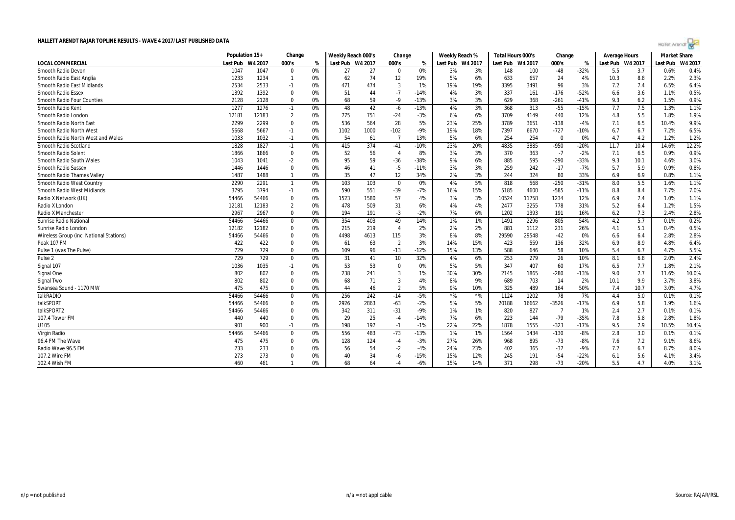|                                         | Population 15+ |         | Change         |    | Weekly Reach 000's |      | Change         |        | Weekly Reach %   |       | Total Hours 000's |         | Change         |        | Average Hours    |      | <b>Market Share</b> |         |
|-----------------------------------------|----------------|---------|----------------|----|--------------------|------|----------------|--------|------------------|-------|-------------------|---------|----------------|--------|------------------|------|---------------------|---------|
| <b>LOCAL COMMERCIAL</b>                 | Last Pub       | W4 2017 | 000's          | %  | Last Pub W4 2017   |      | 000's          | %      | Last Pub W4 2017 |       | Last Pub          | W4 2017 | 000's          | %      | Last Pub W4 2017 |      | Last Pub            | W4 2017 |
| Smooth Radio Devon                      | 1047           | 1047    | $\mathbf 0$    | 0% | 27                 | 27   | $\mathbf 0$    | 0%     | 3%               | 3%    | 148               | 100     | $-48$          | $-32%$ | 5.5              | 3.7  | 0.6%                | 0.4%    |
| Smooth Radio East Anglia                | 1233           | 1234    |                | 0% | 62                 | 74   | 12             | 19%    | 5%               | 6%    | 633               | 657     | 24             | 4%     | 10.3             | 8.8  | 2.2%                | 2.3%    |
| Smooth Radio East Midlands              | 2534           | 2533    | $-1$           | 0% | 471                | 474  | 3              | 1%     | 19%              | 19%   | 3395              | 3491    | 96             | 3%     | 7.2              | 7.4  | 6.5%                | 6.4%    |
| <b>Smooth Radio Essex</b>               | 1392           | 1392    | $\mathbf 0$    | 0% | 51                 | 44   | $-7$           | $-14%$ | 4%               | 3%    | 337               | 161     | $-176$         | $-52%$ | 6.6              | 3.6  | 1.1%                | 0.5%    |
| <b>Smooth Radio Four Counties</b>       | 2128           | 2128    | $\Omega$       | 0% | 68                 | 59   | $-9$           | $-13%$ | 3%               | 3%    | 629               | 368     | $-261$         | $-41%$ | 9.3              | 6.2  | 1.5%                | 0.9%    |
| Smooth Radio Kent                       | 1277           | 1276    | $-1$           | 0% | 48                 | 42   | -6             | $-13%$ | 4%               | 3%    | 368               | 313     | $-55$          | $-15%$ | 7.7              | 7.5  | 1.3%                | 1.1%    |
| Smooth Radio London                     | 12181          | 12183   | $\overline{2}$ | 0% | 775                | 751  | $-24$          | -3%    | 6%               | 6%    | 3709              | 4149    | 440            | 12%    | 4.8              | 5.5  | 1.8%                | 1.9%    |
| <b>Smooth Radio North East</b>          | 2299           | 2299    | $\mathbf 0$    | 0% | 536                | 564  | 28             | 5%     | 23%              | 25%   | 3789              | 3651    | $-138$         | $-4%$  | 7.1              | 6.5  | 10.4%               | 9.9%    |
| Smooth Radio North West                 | 5668           | 5667    | $-1$           | 0% | 1102               | 1000 | $-102$         | -9%    | 19%              | 18%   | 7397              | 6670    | $-727$         | $-10%$ | 6.7              | 6.7  | 7.2%                | 6.5%    |
| Smooth Radio North West and Wales       | 1033           | 1032    | $-1$           | 0% | 54                 | 61   | $\overline{7}$ | 13%    | 5%               | 6%    | 254               | 254     | $\Omega$       | 0%     | 4.7              | 4.2  | 1.2%                | 1.2%    |
| Smooth Radio Scotland                   | 1828           | 1827    | $-1$           | 0% | 415                | 374  | $-41$          | $-10%$ | 23%              | 20%   | 4835              | 3885    | $-950$         | $-20%$ | 11.7             | 10.4 | 14.6%               | 12.2%   |
| Smooth Radio Solent                     | 1866           | 1866    | $\mathbf 0$    | 0% | 52                 | 56   | $\overline{4}$ | 8%     | 3%               | 3%    | 370               | 363     | $-7$           | $-2%$  | 7.1              | 6.5  | 0.9%                | 0.9%    |
| Smooth Radio South Wales                | 1043           | 1041    | $-2$           | 0% | 95                 | 59   | $-36$          | $-38%$ | 9%               | 6%    | 885               | 595     | $-290$         | $-33%$ | 9.3              | 10.1 | 4.6%                | 3.0%    |
| <b>Smooth Radio Sussex</b>              | 1446           | 1446    | $\Omega$       | 0% | 46                 | 41   | $-5$           | $-11%$ | 3%               | 3%    | 259               | 242     | $-17$          | $-7%$  | 5.7              | 5.9  | 0.9%                | 0.8%    |
| <b>Smooth Radio Thames Valley</b>       | 1487           | 1488    | -1             | 0% | 35                 | 47   | 12             | 34%    | 2%               | 3%    | 244               | 324     | 80             | 33%    | 6.9              | 6.9  | 0.8%                | 1.1%    |
| Smooth Radio West Country               | 2290           | 2291    | $\overline{1}$ | 0% | 103                | 103  | $\mathbf 0$    | 0%     | 4%               | 5%    | 818               | 568     | $-250$         | $-31%$ | 8.0              | 5.5  | 1.6%                | 1.1%    |
| Smooth Radio West Midlands              | 3795           | 3794    | $-1$           | 0% | 590                | 551  | $-39$          | $-7%$  | 16%              | 15%   | 5185              | 4600    | $-585$         | $-11%$ | 8.8              | 8.4  | 7.7%                | 7.0%    |
| Radio X Network (UK)                    | 54466          | 54466   | 0              | 0% | 1523               | 1580 | 57             | 4%     | 3%               | 3%    | 10524             | 11758   | 1234           | 12%    | 6.9              | 7.4  | 1.0%                | 1.1%    |
| Radio X London                          | 12181          | 12183   | $\overline{2}$ | 0% | 478                | 509  | 31             | 6%     | 4%               | 4%    | 2477              | 3255    | 778            | 31%    | 5.2              | 6.4  | 1.2%                | 1.5%    |
| <b>Radio X Manchester</b>               | 2967           | 2967    | $\Omega$       | 0% | 194                | 191  | $-3$           | -2%    | 7%               | 6%    | 1202              | 1393    | 191            | 16%    | 6.2              | 7.3  | 2.4%                | 2.8%    |
| Sunrise Radio National                  | 54466          | 54466   | 0              | 0% | 354                | 403  | 49             | 14%    | 1%               | 1%    | 1491              | 2296    | 805            | 54%    | 4.2              | 5.7  | 0.1%                | 0.2%    |
| Sunrise Radio London                    | 12182          | 12182   | 0              | 0% | 215                | 219  | $\overline{4}$ | 2%     | 2%               | 2%    | 881               | 1112    | 231            | 26%    | 4.1              | 5.1  | 0.4%                | 0.5%    |
| Wireless Group (inc. National Stations) | 54466          | 54466   | $\mathbf 0$    | 0% | 4498               | 4613 | 115            | 3%     | 8%               | 8%    | 29590             | 29548   | $-42$          | 0%     | 6.6              | 6.4  | 2.8%                | 2.8%    |
| Peak 107 FM                             | 422            | 422     | $\Omega$       | 0% | 61                 | 63   | $\overline{2}$ | 3%     | 14%              | 15%   | 423               | 559     | 136            | 32%    | 6.9              | 8.9  | 4.8%                | 6.4%    |
| Pulse 1 (was The Pulse)                 | 729            | 729     | $\mathbf 0$    | 0% | 109                | 96   | $-13$          | $-12%$ | 15%              | 13%   | 588               | 646     | 58             | 10%    | 5.4              | 6.7  | 4.7%                | 5.5%    |
| Pulse <sub>2</sub>                      | 729            | 729     | $\mathbf 0$    | 0% | 31                 | 41   | 10             | 32%    | 4%               | 6%    | 253               | 279     | 26             | 10%    | 8.1              | 6.8  | 2.0%                | 2.4%    |
| Signal 107                              | 1036           | 1035    | $-1$           | 0% | 53                 | 53   | $\overline{0}$ | 0%     | 5%               | 5%    | 347               | 407     | 60             | 17%    | 6.5              | 7.7  | 1.8%                | 2.1%    |
| Signal One                              | 802            | 802     | $\Omega$       | 0% | 238                | 241  | 3              | 1%     | 30%              | 30%   | 2145              | 1865    | $-280$         | $-13%$ | 9.0              | 7.7  | 11.6%               | 10.0%   |
| Signal Two                              | 802            | 802     | $\mathbf 0$    | 0% | 68                 | 71   | 3              | 4%     | 8%               | 9%    | 689               | 703     | 14             | 2%     | 10.1             | 9.9  | 3.7%                | 3.8%    |
| Swansea Sound - 1170 MW                 | 475            | 475     | $\Omega$       | 0% | 44                 | 46   | $\overline{2}$ | 5%     | 9%               | 10%   | 325               | 489     | 164            | 50%    | 7.4              | 10.7 | 3.0%                | 4.7%    |
| talkRADIO                               | 54466          | 54466   | 0              | 0% | 256                | 242  | $-14$          | $-5%$  | $*$ %            | $*$ % | 1124              | 1202    | 78             | 7%     | 4.4              | 5.0  | 0.1%                | 0.1%    |
| talkSPORT                               | 54466          | 54466   | $\mathbf 0$    | 0% | 2926               | 2863 | $-63$          | -2%    | 5%               | 5%    | 20188             | 16662   | $-3526$        | $-17%$ | 6.9              | 5.8  | 1.9%                | 1.6%    |
| talkSPORT2                              | 54466          | 54466   | 0              | 0% | 342                | 311  | $-31$          | -9%    | 1%               | 1%    | 820               | 827     | $\overline{7}$ | 1%     | 2.4              | 2.7  | 0.1%                | 0.1%    |
| 107.4 Tower FM                          | 440            | 440     | $\Omega$       | 0% | 29                 | 25   | $-4$           | $-14%$ | 7%               | 6%    | 223               | 144     | $-79$          | $-35%$ | 7.8              | 5.8  | 2.8%                | 1.8%    |
| U105                                    | 901            | 900     | $-1$           | 0% | 198                | 197  | $-1$           | $-1%$  | 22%              | 22%   | 1878              | 1555    | $-323$         | $-17%$ | 9.5              | 7.9  | 10.5%               | 10.4%   |
| Virgin Radio                            | 54466          | 54466   | 0              | 0% | 556                | 483  | $-73$          | $-13%$ | 1%               | 1%    | 1564              | 1434    | $-130$         | $-8%$  | 2.8              | 3.0  | 0.1%                | 0.1%    |
| 96.4 FM The Wave                        | 475            | 475     | $\Omega$       | 0% | 128                | 124  | $-4$           | $-3%$  | 27%              | 26%   | 968               | 895     | $-73$          | $-8%$  | 7.6              | 7.2  | 9.1%                | 8.6%    |
| Radio Wave 96.5 FM                      | 233            | 233     | $\Omega$       | 0% | 56                 | 54   | $-2$           | -4%    | 24%              | 23%   | 402               | 365     | $-37$          | $-9%$  | 7.2              | 6.7  | 8.7%                | 8.0%    |
| 107.2 Wire FM                           | 273            | 273     | $\Omega$       | 0% | 40                 | 34   | $-6$           | $-15%$ | 15%              | 12%   | 245               | 191     | $-54$          | $-22%$ | 6.1              | 5.6  | 4.1%                | 3.4%    |
| 102.4 Wish FM                           | 460            | 461     |                | 0% | 68                 | 64   | $-4$           | $-6%$  | 15%              | 14%   | 371               | 298     | $-73$          | $-20%$ | 5.5              | 4.7  | 4.0%                | 3.1%    |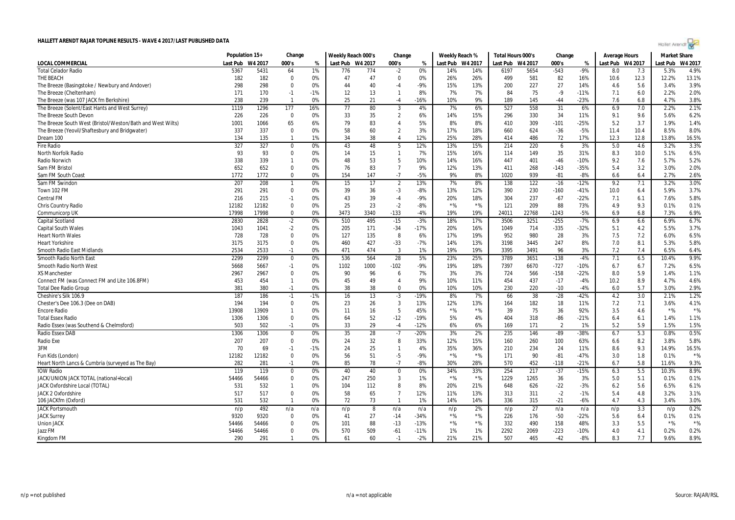| Hollet Arendi N |  |  |  |
|-----------------|--|--|--|
|                 |  |  |  |
|                 |  |  |  |

|                                                            | Population 15+ |                | Change       |       | Weekly Reach 000's |      | Change         |        | Weekly Reach % |                  | Total Hours 000's |       | Change         |        | <b>Average Hours</b> |      | <b>Market Share</b> |         |
|------------------------------------------------------------|----------------|----------------|--------------|-------|--------------------|------|----------------|--------|----------------|------------------|-------------------|-------|----------------|--------|----------------------|------|---------------------|---------|
| <b>LOCAL COMMERCIAL</b>                                    | Last Pub       | W4 2017        | 000's        | %     | Last Pub W4 2017   |      | 000's          | %      |                | Last Pub W4 2017 | Last Pub W4 2017  |       | 000's          | %      | Last Pub W4 2017     |      | Last Pub            | W4 2017 |
| <b>Total Celador Radio</b>                                 | 5367           | 5431           | 64           | 1%    | 776                | 774  | $-2$           | 0%     | 14%            | 14%              | 6197              | 5654  | $-543$         | $-9%$  | 8.0                  | 7.3  | 5.3%                | 4.9%    |
| THE BEACH                                                  | 182            | 182            | $\Omega$     | 0%    | 47                 | 47   | $\Omega$       | 0%     | 26%            | 26%              | 499               | 581   | 82             | 16%    | 10.6                 | 12.3 | 12.2%               | 13.1%   |
| The Breeze (Basingstoke / Newbury and Andover)             | 298            | 298            | $\Omega$     | 0%    | 44                 | 40   | -4             | $-9%$  | 15%            | 13%              | 200               | 227   | 27             | 14%    | 4.6                  | 5.6  | 3.4%                | 3.9%    |
| The Breeze (Cheltenham)                                    | 171            | 170            | $-1$         | $-1%$ | 12                 | 13   | $\mathbf{1}$   | 8%     | 7%             | 7%               | 84                | 75    | $-9$           | $-11%$ | 7.1                  | 6.0  | 2.2%                | 2.0%    |
| The Breeze (was 107 JACK fm Berkshire)                     | 238            | 239            | $\mathbf{1}$ | 0%    | 25                 | 21   | $-4$           | $-16%$ | 10%            | 9%               | 189               | 145   | $-44$          | $-23%$ | 7.6                  | 6.8  | 4.7%                | 3.8%    |
| The Breeze (Solent/East Hants and West Surrey)             | 1119           | 1296           | 177          | 16%   | 77                 | 80   | 3              | 4%     | 7%             | 6%               | 527               | 558   | 31             | 6%     | 6.9                  | 7.0  | 2.2%                | 2.1%    |
| The Breeze South Devon                                     | 226            | 226            | $\mathbf 0$  | 0%    | 33                 | 35   | $\overline{2}$ | 6%     | 14%            | 15%              | 296               | 330   | 34             | 11%    | 9.1                  | 9.6  | 5.6%                | 6.2%    |
| The Breeze South West (Bristol/Weston/Bath and West Wilts) | 1001           | 1066           | 65           | 6%    | 79                 | 83   | $\overline{4}$ | 5%     | 8%             | 8%               | 410               | 309   | $-101$         | $-25%$ | 5.2                  | 3.7  | 1.9%                | 1.4%    |
| The Breeze (Yeovil/Shaftesbury and Bridgwater)             | 337            | 337            | $\Omega$     | 0%    | 58                 | 60   | $\overline{2}$ | 3%     | 17%            | 18%              | 660               | 624   | $-36$          | $-5%$  | 11.4                 | 10.4 | 8.5%                | 8.0%    |
| Dream 100                                                  | 134            | 135            | -1           | 1%    | 34                 | 38   | $\overline{4}$ | 12%    | 25%            | 28%              | 414               | 486   | 72             | 17%    | 12.3                 | 12.8 | 13.8%               | 16.5%   |
| <b>Fire Radio</b>                                          | 327            | 327            | $\mathbf 0$  | 0%    | 43                 | 48   | 5              | 12%    | 13%            | 15%              | 214               | 220   | 6              | 3%     | 5.0                  | 4.6  | 3.2%                | 3.3%    |
| North Norfolk Radio                                        | 93             | 93             | $\Omega$     | 0%    | 14                 | 15   | $\mathbf{1}$   | 7%     | 15%            | 16%              | 114               | 149   | 35             | 31%    | 8.3                  | 10.0 | 5.1%                | 6.5%    |
| Radio Norwich                                              | 338            | 339            | $\mathbf{1}$ | 0%    | 48                 | 53   | 5              | 10%    | 14%            | 16%              | 447               | 401   | $-46$          | $-10%$ | 9.2                  | 7.6  | 5.7%                | 5.2%    |
| Sam FM Bristol                                             | 652            | 652            | $\Omega$     | 0%    | 76                 | 83   | $\overline{7}$ | 9%     | 12%            | 13%              | 411               | 268   | $-143$         | $-35%$ | 5.4                  | 3.2  | 3.0%                | 2.0%    |
| Sam FM South Coast                                         | 1772           | 1772           | $\Omega$     | 0%    | 154                | 147  | $-7$           | $-5%$  | 9%             | 8%               | 1020              | 939   | $-81$          | $-8%$  | 6.6                  | 6.4  | 2.7%                | 2.6%    |
| Sam FM Swindon                                             | 207            | 208            | $\mathbf{1}$ | 0%    | 15                 | 17   | $\overline{2}$ | 13%    | 7%             | 8%               | 138               | 122   | $-16$          | $-12%$ | 9.2                  | 7.1  | 3.2%                | 3.0%    |
| Town 102 FM                                                | 291            | 291            | $\Omega$     | 0%    | 39                 | 36   | -3             | -8%    | 13%            | 12%              | 390               | 230   | $-160$         | $-41%$ | 10.0                 | 6.4  | 5.9%                | 3.7%    |
| <b>Central FM</b>                                          | 216            | 215            | $-1$         | 0%    | 43                 | 39   | -4             | -9%    | 20%            | 18%              | 304               | 237   | $-67$          | $-22%$ | 7.1                  | 6.1  | 7.6%                | 5.8%    |
| Chris Country Radio                                        | 12182          | 12182          | $\Omega$     | 0%    | 25                 | 23   | $-2$           | $-8%$  | $*$ %          | $*$ %            | 121               | 209   | 88             | 73%    | 4.9                  | 9.3  | 0.1%                | 0.1%    |
| <b>Communicorp UK</b>                                      | 17998          | 17998          | $\Omega$     | 0%    | 3473               | 3340 | $-133$         | $-4%$  | 19%            | 19%              | 24011             | 22768 | $-1243$        | $-5%$  | 6.9                  | 6.8  | 7.3%                | 6.9%    |
| <b>Capital Scotland</b>                                    | 2830           | 2828           | $-2$         | 0%    | 510                | 495  | $-15$          | $-3%$  | 18%            | 17%              | 3506              | 3251  | $-255$         | $-7%$  | 6.9                  | 6.6  | 6.9%                | 6.7%    |
| <b>Capital South Wales</b>                                 | 1043           | 1041           | $-2$         | 0%    | 205                | 171  | $-34$          | $-17%$ | 20%            | 16%              | 1049              | 714   | $-335$         | $-32%$ | 5.1                  | 4.2  | 5.5%                | 3.7%    |
| <b>Heart North Wales</b>                                   | 728            | 728            | $\mathbf 0$  | 0%    | 127                | 135  | 8              | 6%     | 17%            | 19%              | 952               | 980   | 28             | 3%     | 7.5                  | 7.2  | 6.0%                | 6.5%    |
| <b>Heart Yorkshire</b>                                     | 3175           | 3175           | $\mathbf 0$  | 0%    | 460                | 427  | $-33$          | $-7%$  | 14%            | 13%              | 3198              | 3445  | 247            | 8%     | 7.0                  | 8.1  | 5.3%                | 5.8%    |
| Smooth Radio East Midlands                                 | 2534           | 2533           | $-1$         | 0%    | 471                | 474  | 3              | 1%     | 19%            | 19%              | 3395              | 3491  | 96             | 3%     | 7.2                  | 7.4  | 6.5%                | 6.4%    |
| Smooth Radio North East                                    | 2299           | 2299           | $\Omega$     | 0%    | 536                | 564  | 28             | 5%     | 23%            | 25%              | 3789              | 3651  | $-138$         | $-4%$  | 7.1                  | 6.5  | 10.4%               | 9.9%    |
| Smooth Radio North West                                    | 5668           | 5667           | $-1$         | 0%    | 1102               | 1000 | $-102$         | $-9%$  | 19%            | 18%              | 7397              | 6670  | $-727$         | $-10%$ | 6.7                  | 6.7  | 7.2%                | 6.5%    |
| <b>XS Manchester</b>                                       | 2967           | 2967           | $\Omega$     | 0%    | 90                 | 96   | 6              | 7%     | 3%             | 3%               | 724               | 566   | $-158$         | $-22%$ | 8.0                  | 5.9  | 1.4%                | 1.1%    |
| Connect FM (was Connect FM and Lite 106.8FM)               | 453            | 454            | $\mathbf{1}$ | 0%    | 45                 | 49   | $\overline{4}$ | 9%     | 10%            | 11%              | 454               | 437   | $-17$          | $-4%$  | 10.2                 | 8.9  | 4.7%                | 4.6%    |
| <b>Total Dee Radio Group</b>                               | 381            | 380            | $-1$         | 0%    | 38                 | 38   | $\Omega$       | 0%     | 10%            | 10%              | 230               | 220   | $-10$          | $-4%$  | 6.0                  | 5.7  | 3.0%                | 2.9%    |
| Cheshire's Silk 106.9                                      | 187            | 186            | $-1$         | $-1%$ | 16                 | 13   | $-3$           | $-19%$ | 8%             | 7%               | 66                | 38    | $-28$          | $-42%$ | 4.2                  | 3.0  | 2.1%                | 1.2%    |
| Chester's Dee 106.3 (Dee on DAB)                           | 194            | 194            | $\Omega$     | 0%    | 23                 | 26   | 3              | 13%    | 12%            | 13%              | 164               | 182   | 18             | 11%    | 7.2                  | 7.1  | 3.6%                | 4.1%    |
| <b>Encore Radio</b>                                        | 13908          | 13909          | $\mathbf{1}$ | 0%    | 11                 | 16   | 5              | 45%    | $*$ %          | $*$ %            | 39                | 75    | 36             | 92%    | 3.5                  | 4.6  | $*$ %               | $*$ %   |
| <b>Total Essex Radio</b>                                   | 1306           | 1306           | $\Omega$     | 0%    | 64                 | 52   | $-12$          | $-19%$ | 5%             | 4%               | 404               | 318   | $-86$          | $-21%$ | 6.4                  | 6.1  | 1.4%                | 1.1%    |
| Radio Essex (was Southend & Chelmsford)                    | 503            | 502            | $-1$         | 0%    | 33                 | 29   | $-4$           | $-12%$ | 6%             | 6%               | 169               | 171   | $\overline{2}$ | 1%     | 5.2                  | 5.9  | 1.5%                | 1.5%    |
| Radio Essex DAB                                            | 1306           | 1306           | $\mathbf 0$  | 0%    | 35                 | 28   | $-7$           | $-20%$ | 3%             | 2%               | 235               | 146   | -89            | -38%   | 6.7                  | 5.3  | 0.8%                | 0.5%    |
| Radio Exe                                                  | 207            | 207            | $\Omega$     | 0%    | 24                 | 32   | 8              | 33%    | 12%            | 15%              | 160               | 260   | 100            | 63%    | 6.6                  | 8.2  | 3.8%                | 5.8%    |
| 3FM                                                        | 70             | 69             | $-1$         | $-1%$ | 24                 | 25   | $\mathbf{1}$   | 4%     | 35%            | 36%              | 210               | 234   | 24             | 11%    | 8.6                  | 9.3  | 14.9%               | 16.5%   |
| Fun Kids (London)                                          | 12182          | 12182          | $\Omega$     | 0%    | 56                 | 51   | -5             | $-9%$  | $*$ %          | $*$ %            | 171               | 90    | $-81$          | $-47%$ | 3.0                  | 1.8  | 0.1%                | $*$ %   |
| Heart North Lancs & Cumbria (surveyed as The Bay)          | 282            | 281            | $-1$         | 0%    | 85                 | 78   | $-7$           | $-8%$  | 30%            | 28%              | 570               | 452   | $-118$         | $-21%$ | 6.7                  | 5.8  | 11.6%               | 9.3%    |
| <b>IOW Radio</b>                                           | 119            | 119            | $\mathbf 0$  | 0%    | 40                 | 40   | $\mathbf 0$    | 0%     | 34%            | 33%              | 254               | 217   | $-37$          | $-15%$ | 6.3                  | 5.5  | 10.3%               | 8.9%    |
| JACK/UNION JACK TOTAL (national+local)                     | 54466          | 54466          | $\Omega$     | 0%    | 247                | 250  | 3              | 1%     | $*$ %          | $*$ %            | 1229              | 1265  | 36             | 3%     | 5.0                  | 5.1  | 0.1%                | 0.1%    |
| JACK Oxfordshire Local (TOTAL)                             | 531            | 532            | $\mathbf{1}$ | 0%    | 104                | 112  | 8              | 8%     | 20%            | 21%              | 648               | 626   | $-22$          | $-3%$  | 6.2                  | 5.6  | 6.5%                | 6.1%    |
| <b>JACK 2 Oxfordshire</b>                                  | 517            | 517            | $\Omega$     | 0%    | 58                 | 65   | $\overline{7}$ | 12%    | 11%            | 13%              | 313               | 311   | $-2$           | $-1%$  | 5.4                  | 4.8  | 3.2%                | 3.1%    |
| 106 JACKfm (Oxford)                                        | 531            | 532            | -1           | 0%    | 72                 | 73   | $\mathbf{1}$   | 1%     | 14%            | 14%              | 336               | 315   | $-21$          | $-6%$  | 4.7                  | 4.3  | 3.4%                | 3.0%    |
| <b>JACK Portsmouth</b>                                     | n/p            | 492            | n/a          | n/a   |                    | 8    | n/a            | n/a    |                | 2%               | n/p               | 27    | n/a            | n/a    | n/p                  | 3.3  | n/p                 | 0.2%    |
| <b>JACK Surrey</b>                                         | 9320           | 9320           | $\Omega$     | 0%    | n/p<br>41          | 27   | $-14$          | $-34%$ | n/p<br>$*$ %   | $*$ %            | 226               | 176   | $-50$          | $-22%$ | 5.6                  | 6.4  | 0.1%                | 0.1%    |
| <b>Union JACK</b>                                          |                |                | $\Omega$     | 0%    | 101                | 88   | $-13$          | $-13%$ | $*$ %          | $*$ %            | 332               | 490   | 158            | 48%    |                      | 5.5  | $*$ %               | $*$ %   |
| Jazz FM                                                    | 54466<br>54466 | 54466<br>54466 | $\mathbf 0$  | 0%    | 570                | 509  | -61            | $-11%$ | 1%             | 1%               | 2292              | 2069  | $-223$         | $-10%$ | 3.3<br>4.0           | 4.1  | 0.2%                | 0.2%    |
| Kingdom FM                                                 | 290            | 291            | $\mathbf{1}$ | 0%    | 61                 | 60   | $-1$           | $-2%$  | 21%            | 21%              | 507               | 465   | $-42$          | $-8%$  | 8.3                  | 7.7  | 9.6%                | 8.9%    |
|                                                            |                |                |              |       |                    |      |                |        |                |                  |                   |       |                |        |                      |      |                     |         |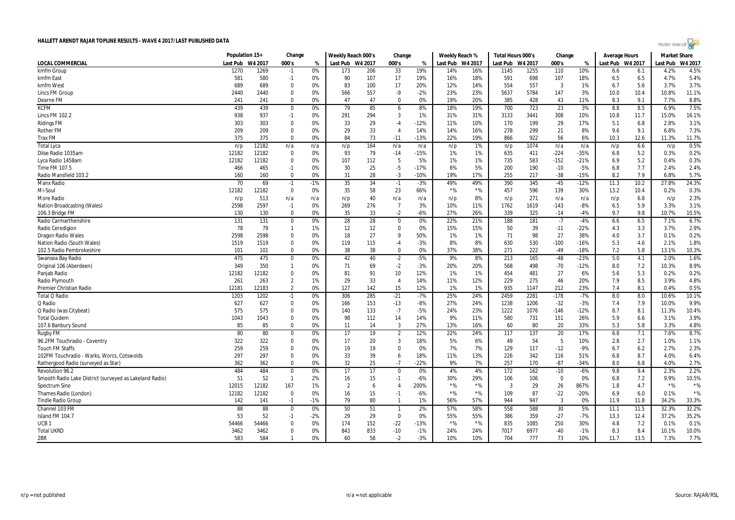

|                                                         | Population 15+ |               | Change         |       | Weekly Reach 000's |     | Change         |        | Weekly Reach % |                  | Total Hours 000's |         | Change      |        | Average Hours    |            | <b>Market Share</b> |         |
|---------------------------------------------------------|----------------|---------------|----------------|-------|--------------------|-----|----------------|--------|----------------|------------------|-------------------|---------|-------------|--------|------------------|------------|---------------------|---------|
| <b>LOCAL COMMERCIAL</b>                                 | Last Pub       | W4 2017       | 000's          | %     | Last Pub W4 2017   |     | 000's          | %      |                | Last Pub W4 2017 | Last Pub          | W4 2017 | 000's       | %      | Last Pub W4 2017 |            | Last Pub            | W4 2017 |
| kmfm Group                                              | 1270           | 1269          | $-1$           | 0%    | 173                | 206 | 33             | 19%    | 14%            | 16%              | 1145              | 1255    | 110         | 10%    | 6.6              | 6.1        | 4.2%                | 4.5%    |
| kmfm East                                               | 581            | 580           | $-1$           | 0%    | 90                 | 107 | 17             | 19%    | 16%            | 18%              | 591               | 698     | 107         | 18%    | 6.5              | 6.5        | 4.7%                | 5.4%    |
| kmfm West                                               | 689            | 689           | $\mathbf 0$    | 0%    | 83                 | 100 | 17             | 20%    | 12%            | 14%              | 554               | 557     | 3           | 1%     | 6.7              | 5.6        | 3.7%                | 3.7%    |
| Lincs FM Group                                          | 2440           | 2440          | $\Omega$       | 0%    | 566                | 557 | -9             | $-2%$  | 23%            | 23%              | 5637              | 5784    | 147         | 3%     | 10.0             | 10.4       | 10.8%               | 11.1%   |
| Dearne FM                                               | 241            | 241           | $\Omega$       | 0%    | 47                 | 47  | $\Omega$       | 0%     | 19%            | 20%              | 385               | 428     | 43          | 11%    | 8.3              | 9.1        | 7.7%                | 8.8%    |
| <b>KCFM</b>                                             | 439            | 439           | $\mathbf 0$    | 0%    | 79                 | 85  | 6              | 8%     | 18%            | 19%              | 700               | 723     | 23          | 3%     | 8.8              | 8.5        | 6.9%                | 7.5%    |
| Lincs FM 102.2                                          | 938            | 937           | $-1$           | 0%    | 291                | 294 | 3              | 1%     | 31%            | 31%              | 3133              | 3441    | 308         | 10%    | 10.8             | 11.7       | 15.0%               | 16.1%   |
| <b>Ridings FM</b>                                       | 303            | 303           | $\mathbf 0$    | 0%    | 33                 | 29  | -4             | $-12%$ | 11%            | 10%              | 170               | 199     | 29          | 17%    | 5.1              | 6.8        | 2.8%                | 3.1%    |
| <b>Rother FM</b>                                        | 209            | 209           | $\Omega$       | 0%    | 29                 | 33  | $\overline{4}$ | 14%    | 14%            | 16%              | 278               | 299     | 21          | 8%     | 9.6              | 9.1        | 6.8%                | 7.3%    |
| <b>Trax FM</b>                                          | 375            | 375           | $\Omega$       | 0%    | 84                 | 73  | $-11$          | $-13%$ | 22%            | 19%              | 866               | 922     | 56          | 6%     | 10.3             | 12.6       | 11.3%               | 11.7%   |
| <b>Total Lyca</b>                                       | n/p            | 12182         | n/a            | n/a   | n/p                | 164 | n/a            | n/a    | n/p            | 1%               | n/p               | 1074    | n/a         | n/a    | n/p              | 6.6        | n/p                 | 0.5%    |
| Dilse Radio 1035am                                      | 12182          | 12182         | $\mathbf 0$    | 0%    | 93                 | 79  | $-14$          | $-15%$ | 1%             | 1%               | 635               | 411     | $-224$      | $-35%$ | 6.8              | 5.2        | 0.3%                | 0.2%    |
| Lyca Radio 1458am                                       | 12182          | 12182         | $\mathbf 0$    | 0%    | 107                | 112 | 5              | 5%     | 1%             | 1%               | 735               | 583     | $-152$      | $-21%$ | 6.9              | 5.2        | 0.4%                | 0.3%    |
| Time FM 107.5                                           | 466            | 465           | $-1$           | 0%    | 30                 | 25  | $-5$           | $-17%$ | 6%             | 5%               | 200               | 190     | $-10$       | $-5%$  | 6.8              | 7.7        | 2.4%                | 2.4%    |
| Radio Mansfield 103.2                                   | 160            | 160           | $\Omega$       | 0%    | 31                 | 28  | $-3$           | $-10%$ | 19%            | 17%              | 255               | 217     | $-38$       | $-15%$ | 8.2              | 7.9        | 6.8%                | 5.7%    |
| <b>Manx Radio</b>                                       | 70             | 69            | $-1$           | $-1%$ | 35                 | 34  | $-1$           | $-3%$  | 49%            | 49%              | 390               | 345     | $-45$       | $-12%$ | 11.3             | 10.2       | 27.8%               | 24.3%   |
| Mi-Soul                                                 | 12182          | 12182         | $\mathbf 0$    | 0%    | 35                 | 58  | 23             | 66%    | $*$ %          | $*$ %            | 457               | 596     | 139         | 30%    | 13.2             | 10.4       | 0.2%                | 0.3%    |
| More Radio                                              | n/p            | 513           | n/a            | n/a   | n/p                | 40  | n/a            | n/a    | n/p            | 8%               | n/p               | 271     | n/a         | n/a    | n/p              | 6.8        | n/p                 | 2.3%    |
| Nation Broadcasting (Wales)                             | 2598           | 2597          | $-1$           | 0%    | 269                | 276 | $\overline{7}$ | 3%     | 10%            | 11%              | 1762              | 1619    | $-143$      | $-8%$  | 6.5              | 5.9        | 3.3%                | 3.1%    |
| 106.3 Bridge FM                                         | 130            | 130           | $\Omega$       | 0%    | 35                 | 33  | $-2$           | $-6%$  | 27%            | 26%              | 339               | 325     | $-14$       | $-4%$  | 9.7              | 9.8        | 10.7%               | 10.5%   |
| Radio Carmarthenshire                                   | 131            | 131           | $\mathbf 0$    | 0%    | 28                 | 28  | $\mathbf 0$    | 0%     | 22%            | 21%              | 188               | 181     | $-7$        | $-4%$  | 6.6              | 6.5        | 7.1%                | 6.7%    |
| Radio Ceredigion                                        | 78             | 79            | $\mathbf{1}$   | 1%    | 12                 | 12  | $\Omega$       | 0%     | 15%            | 15%              | 50                | 39      | $-11$       | $-22%$ | 4.3              | 3.3        | 3.7%                | 2.9%    |
| <b>Dragon Radio Wales</b>                               | 2598           | 2598          | $\mathbf 0$    | 0%    | 18                 | 27  | 9              | 50%    | 1%             | 1%               | 71                | 98      | 27          | 38%    | 4.0              | 3.7        | 0.1%                | 0.2%    |
| Nation Radio (South Wales)                              | 1519           | 1519          | $\mathbf 0$    | 0%    | 119                | 115 | -4             | $-3%$  | 8%             | 8%               | 630               | 530     | $-100$      | $-16%$ | 5.3              | 4.6        | 2.1%                | 1.8%    |
| 102.5 Radio Pembrokeshire                               | 101            | 101           | $\Omega$       | 0%    | 38                 | 38  | $\Omega$       | 0%     | 37%            | 38%              | 271               | 222     | $-49$       | $-18%$ | 7.2              | 5.8        | 13.1%               | 10.3%   |
| Swansea Bay Radio                                       | 475            | 475           | $\mathbf 0$    | 0%    | 42                 | 40  | $-2$           | $-5%$  | 9%             | 8%               | 213               | 165     | $-48$       | $-23%$ | 5.0              | 4.1        | 2.0%                | 1.6%    |
| Original 106 (Aberdeen)                                 | 349            | 350           | $\mathbf{1}$   | 0%    | 71                 | 69  | $-2$           | $-3%$  | 20%            | 20%              | 568               | 498     | $-70$       | $-12%$ | 8.0              | 7.2        | 10.3%               | 8.9%    |
| Panjab Radio                                            | 12182          | 12182         | $\mathbf 0$    | 0%    | 81                 | 91  | 10             | 12%    | 1%             | 1%               | 454               | 481     | 27          | 6%     | 5.6              | 5.3        | 0.2%                | 0.2%    |
| Radio Plymouth                                          | 261            | 263           | $\overline{2}$ | 1%    | 29                 | 33  | $\overline{4}$ | 14%    | 11%            | 12%              | 229               | 275     | 46          | 20%    | 7.9              | 8.5        | 3.9%                | 4.8%    |
| <b>Premier Christian Radio</b>                          | 12181          | 12183         | $\overline{2}$ | 0%    | 127                | 142 | 15             | 12%    | 1%             | 1%               | 935               | 1147    | 212         | 23%    | 7.4              | 8.1        | 0.4%                | 0.5%    |
| <b>Total Q Radio</b>                                    | 1203           | 1202          | $-1$           | 0%    | 306                | 285 | $-21$          | $-7%$  | 25%            | 24%              | 2459              | 2281    | $-178$      | $-7%$  | 8.0              | 8.0        | 10.6%               | 10.1%   |
| Q Radio                                                 | 627            | 627           | $\Omega$       | 0%    | 166                | 153 | $-13$          | $-8%$  | 27%            | 24%              | 1238              | 1206    | $-32$       | $-3%$  | 7.4              | 7.9        | 10.0%               | 9.9%    |
| Q Radio (was Citybeat)                                  | 575            | 575           | $\Omega$       | 0%    | 140                | 133 | $-7$           | $-5%$  | 24%            | 23%              | 1222              | 1076    | $-146$      | $-12%$ | 8.7              | 8.1        | 11.3%               | 10.4%   |
| <b>Total Quidem</b>                                     | 1043           | 1043          | $\mathbf 0$    | 0%    | 98                 | 112 | 14             | 14%    | 9%             | 11%              | 580               | 731     | 151         | 26%    | 5.9              | 6.6        | 3.1%                | 3.9%    |
| 107.6 Banbury Sound                                     | 85             | 85            | $\Omega$       | 0%    | 11                 | 14  | 3              | 27%    | 13%            | 16%              | 60                | 80      | 20          | 33%    | 5.3              | 5.8        | 3.3%                | 4.8%    |
| Rugby FM                                                | 80             | 80            | $\Omega$       | 0%    | 17                 | 19  | $\overline{2}$ | 12%    | 22%            | 24%              | 117               | 137     | 20          | 17%    | 6.8              | 7.1        | 7.6%                | 8.7%    |
| 96.2FM Touchradio - Coventry                            | 322            | 322           | $\Omega$       | 0%    | 17                 | 20  | $\overline{3}$ | 18%    | 5%             | 6%               | 49                | 54      | 5           | 10%    | 2.8              | 2.7        | 1.0%                | 1.1%    |
| <b>Touch FM Staffs</b>                                  | 259            | 259           | $\mathbf 0$    | 0%    | 19                 | 19  | $\Omega$       | 0%     | 7%             | 7%               | 129               | 117     | $-12$       | $-9%$  | 6.7              | 6.2        | 2.7%                | 2.3%    |
| 102FM Touchradio - Warks, Worcs, Cotswolds              | 297            | 297           | $\mathbf 0$    | 0%    | 33                 | 39  | 6              | 18%    | 11%            | 13%              | 226               | 342     | 116         | 51%    | 6.8              | 8.7        | 4.0%                | 6.4%    |
| Rathergood Radio (surveyed as Star)                     | 362            | 362           | $\Omega$       | 0%    | 32                 | 25  | $-7$           | $-22%$ | 9%             | 7%               | 257               | 170     | $-87$       | $-34%$ | 8.0              | 6.8        | 4.0%                | 2.7%    |
| Revolution 96.2                                         | 484            | 484           | $\mathbf 0$    | 0%    | 17                 | 17  | $\Omega$       | 0%     | 4%             | 4%               | 172               | 162     | $-10$       | $-6%$  | 9.8              | 9.4        | 2.3%                | 2.2%    |
| Smooth Radio Lake District (surveyed as Lakeland Radio) | 51             | 52            | $\mathbf{1}$   | 2%    | 16                 | 15  | $-1$           | $-6%$  | 30%            | 29%              | 106               | 106     | $\mathbf 0$ | 0%     | 6.8              | 7.2        | 9.9%                | 10.5%   |
| Spectrum Sino                                           | 12015          | 12182         | 167            | 1%    | $\overline{2}$     | 6   | $\overline{4}$ | 200%   | $*$ %          | $*$ %            | 3                 | 29      | 26          | 867%   | 1.8              | 4.7        | $*$ %               | $*$ %   |
| Thames Radio (London)                                   | 12182          | 12182         | $\Omega$       | 0%    | 16                 | 15  | $-1$           | $-6%$  | $*$ %          | $*$ %            | 109               | 87      | $-22$       | $-20%$ | 6.9              | 6.0        | 0.1%                | $*$ %   |
| <b>Tindle Radio Group</b>                               | 142            | 141           | $-1$           | $-1%$ | 79                 | 80  | $\mathbf{1}$   | 1%     | 56%            | 57%              | 944               | 947     | 3           | 0%     | 11.9             | 11.8       | 34.2%               | 33.3%   |
| Channel 103 FM                                          | 88             | 88            | $\Omega$       | 0%    | 50                 | 51  | $\mathbf{1}$   | 2%     | 57%            | 58%              | 558               | 588     | 30          | 5%     | 11.1             | 11.5       | 32.3%               | 32.2%   |
| Island FM 104.7                                         | 53             | 52            | $-1$           | $-2%$ | 29                 | 29  | $\Omega$       | 0%     | 55%            | 55%              | 386               | 359     | $-27$       | $-7%$  | 13.3             | 12.4       | 37.2%               | 35.2%   |
|                                                         |                |               | $\mathbf 0$    | 0%    | 174                | 152 |                | $-13%$ | $*$ %          | $*$ %            | 835               | 1085    | 250         | 30%    |                  |            | 0.1%                | 0.1%    |
| UCB <sub>1</sub><br><b>Total UKRD</b>                   | 54466<br>3462  | 54466<br>3462 | $\mathbf 0$    | 0%    | 843                | 833 | $-22$<br>$-10$ | $-1%$  | 24%            | 24%              | 7017              | 6977    | $-40$       | $-1%$  | 4.8<br>8.3       | 7.2<br>8.4 | 10.1%               | 10.0%   |
| 2BR                                                     | 583            | 584           | $\mathbf{1}$   | 0%    | 60                 | 58  | $-2$           | $-3%$  | 10%            | 10%              | 704               | 777     | 73          | 10%    | 11.7             | 13.5       | 7.3%                | 7.7%    |
|                                                         |                |               |                |       |                    |     |                |        |                |                  |                   |         |             |        |                  |            |                     |         |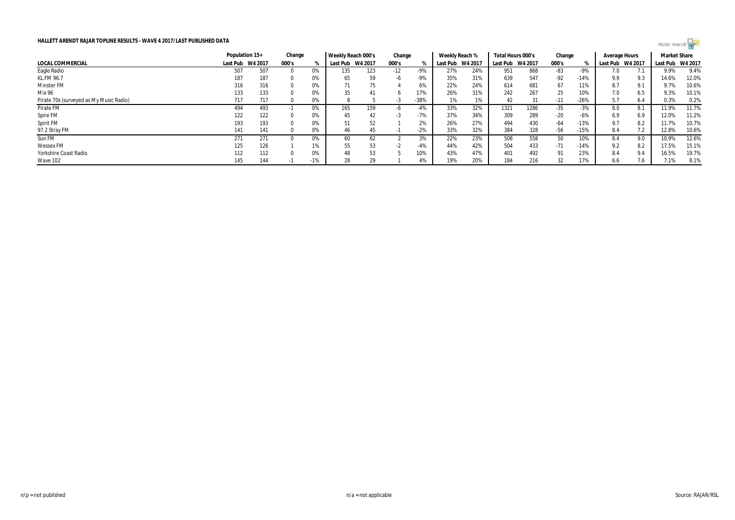

|                                         |          | Population 15+ | Change |       | Weekly Reach 000's |         | Change |        | Weekly Reach % |         | Total Hours 000's |         | Change |        | Average Hours |         | <b>Market Share</b> |       |
|-----------------------------------------|----------|----------------|--------|-------|--------------------|---------|--------|--------|----------------|---------|-------------------|---------|--------|--------|---------------|---------|---------------------|-------|
| LOCAL COMMERCIAL                        | Last Pub | W4 2017        | 000's  |       | Last Pub           | W4 2017 | 000's  |        | Last Pub       | W4 2017 | Last Pub          | W4 2017 | 000's  |        | Last Pub      | W4 2017 | Last Pub W4 2017    |       |
| Eagle Radio                             | 507      | 507            |        | 0%    | 135                | 123     | $-12$  | -9%    | 27%            | 24%     | 951               | 868     | -83    | -9%    | 7.0           |         | 9.9%                | 9.4%  |
| KL.FM 96.7                              | 187      | 187            |        | 0%    | 65                 | 59      | -6     | $-9%$  | 35%            | 31%     | 639               | 547     | $-92$  | $-14%$ | 9.9           | 9.3     | 14.6%               | 12.0% |
| <b>Minster FM</b>                       | 316      | 316            |        | 0%    | 71                 | 75      |        | 6%     | 22%            | 24%     | 614               | 681     | 67     | 11%    | 8.7           | 9.1     | 9.7%                | 10.6% |
| Mix 96                                  | 133      | 133            |        | 0%    | 35                 |         |        | 17%    | 26%            | 31%     | 242               | 267     | 25     | 10%    | 7.0           | 6.5     | 9.3%                | 10.1% |
| Pirate 70s (surveyed as My Music Radio) | 717      | 717            |        | 0%    |                    |         | - 5    | $-38%$ | 1%             |         | 42                | 31      | $-11$  | $-26%$ | 5.7           | 6.4     | 0.3%                | 0.2%  |
| Pirate FM                               | 494      | 493            |        | 0%    | 165                | 159     |        | $-4%$  | 33%            | 32%     | 1321              | 1286    | -35    | $-3%$  | 8.0           | 8.1     | 11.9%               | 11.7% |
| Spire FM                                | 122      | 122            |        | 0%    | 45                 | 42      | - 5    | $-7%$  | 37%            | 34%     | 309               | 289     | $-20$  | $-6%$  | 6.9           | 6.9     | 12.0%               | 11.2% |
| Spirit FM                               | 193      | 193            |        | 0%    |                    | 52      |        | 2%     | 26%            | 27%     | 494               | 430     | -64    | $-13%$ | 9.7           | 8.2     | 11.7%               | 10.7% |
| 97.2 Stray FM                           | 141      | 141            |        | 0%    | 46                 | 45      |        | $-2%$  | 33%            | 32%     | 384               | 328     | -56    | $-15%$ | 8.4           |         | 12.8%               | 10.6% |
| Sun FM                                  | 271      | 271            |        | 0%    | 60                 | 62      |        | 3%     | 22%            | 23%     | 508               | 558     | 50     | 10%    | 8.4           | 9.0     | 10.9%               | 12.6% |
| <b>Wessex FM</b>                        | 125      | 126            |        | 1%    | 55                 | 53      |        | $-4%$  | 44%            | 42%     | 504               | 433     | $-71$  | $-14%$ | 9.2           | 8.2     | 17.5%               | 15.1% |
| Yorkshire Coast Radio                   | 112      | 112            |        | 0%    |                    | 53      |        | 10%    | 43%            | 47%     | 401               | 492     | 91     | 23%    | 8.4           | 9.4     | 16.5%               | 19.7% |
| <b>Wave 102</b>                         | 145      | 144            |        | $-1%$ | 28                 | 29      |        | 4%     | 19%            | 20%     | 184               | 216     | 32     | 17%    | 6.6           | 7.6     | 7.1%                | 8.1%  |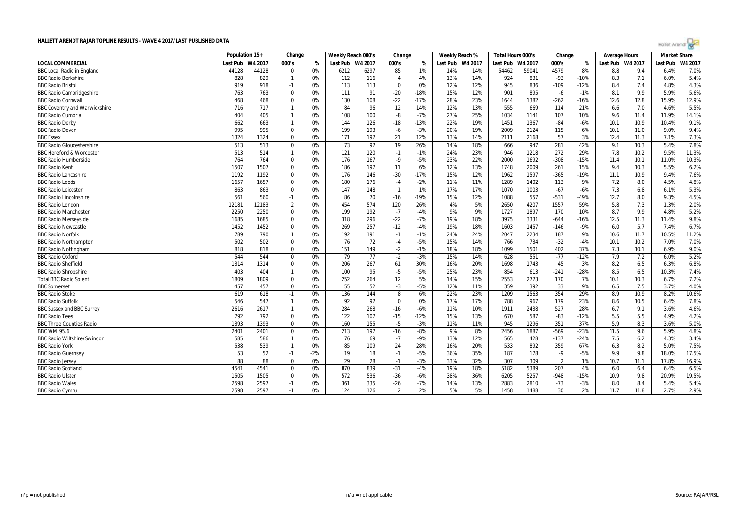| Hollet Arendt |  |
|---------------|--|
|               |  |
|               |  |

| Last Pub W4 2017<br>000's<br>Last Pub W4 2017<br>Last Pub<br>W4 2017<br>000's<br>Last Pub<br>W4 2017<br>000's<br>Last Pub W4 2017<br>Last Pub<br>W4 2017<br>%<br>%<br>%<br>7.0%<br>44128<br>59041<br>4579<br>44128<br>0%<br>6212<br>6297<br>85<br>1%<br>14%<br>14%<br>54462<br>8%<br>9.4<br>$\Omega$<br>8.8<br>6.4%<br>4%<br>14%<br>831<br>$-93$<br>7.1<br>5.4%<br>828<br>829<br>$\mathbf{1}$<br>0%<br>112<br>116<br>$\overline{4}$<br>13%<br>924<br>$-10%$<br>8.3<br>6.0%<br>836<br>4.3%<br>919<br>918<br>$-1$<br>0%<br>113<br>113<br>$\mathbf 0$<br>0%<br>12%<br>12%<br>945<br>$-109$<br>$-12%$<br>8.4<br>7.4<br>4.8%<br>$-20$<br>15%<br>12%<br>895<br>$-1%$<br>8.1<br>9.9<br>5.6%<br>763<br>763<br>$\Omega$<br>0%<br>111<br>91<br>$-18%$<br>901<br>$-6$<br>5.9%<br>$-22$<br>1382<br>12.8<br>12.9%<br>468<br>468<br>$\mathbf 0$<br>0%<br>130<br>108<br>$-17%$<br>28%<br>23%<br>1644<br>$-262$<br>$-16%$<br>12.6<br>15.9%<br>5.5%<br>717<br>84<br>96<br>12<br>14%<br>12%<br>13%<br>555<br>669<br>114<br>21%<br>7.0<br>4.6%<br>716<br>$\mathbf{1}$<br>0%<br>6.6<br>$-8$<br>25%<br>14.1%<br>404<br>405<br>$\mathbf{1}$<br>0%<br>108<br>100<br>$-7%$<br>27%<br>1034<br>1141<br>107<br>10%<br>9.6<br>11.4<br>11.9%<br>9.1%<br>662<br>22%<br>19%<br>$-84$<br>$-6%$<br>663<br>0%<br>126<br>$-18$<br>$-13%$<br>1451<br>1367<br>10.1<br>10.9<br>10.4%<br>$\mathbf{1}$<br>144<br>9.4%<br>995<br>995<br>199<br>193<br>$-3%$<br>20%<br>19%<br>2124<br>115<br>10.1<br>$\mathbf 0$<br>0%<br>$-6$<br>2009<br>6%<br>11.0<br>9.0%<br>1324<br>$\Omega$<br>192<br>21<br>12%<br>14%<br>2168<br>57<br>7.3%<br>1324<br>0%<br>171<br>13%<br>2111<br>3%<br>12.4<br>11.3<br>7.1%<br>7.8%<br>92<br>19<br>281<br>513<br>513<br>$\mathbf 0$<br>0%<br>73<br>26%<br>14%<br>18%<br>666<br>947<br>42%<br>9.1<br>10.3<br>5.4%<br>513<br>514<br>120<br>23%<br>1218<br>272<br>29%<br>10.2<br>9.5%<br>11.3%<br>$\mathbf{1}$<br>0%<br>121<br>$-1$<br>$-1%$<br>24%<br>946<br>7.8<br>$-9$<br>10.3%<br>764<br>764<br>$\Omega$<br>0%<br>176<br>167<br>$-5%$<br>23%<br>22%<br>2000<br>1692<br>$-308$<br>$-15%$<br>11.4<br>10.1<br>11.0%<br>6.2%<br>1507<br>1507<br>$\Omega$<br>0%<br>186<br>197<br>11<br>6%<br>12%<br>13%<br>1748<br>2009<br>261<br>15%<br>9.4<br>10.3<br>5.5%<br>$\Omega$<br>0%<br>$-30$<br>12%<br>1597<br>$-365$<br>$-19%$<br>10.9<br>7.6%<br>1192<br>1192<br>176<br>146<br>$-17%$<br>15%<br>1962<br>11.1<br>9.4%<br>4.8%<br>176<br>11%<br>7.2<br>4.5%<br>1657<br>1657<br>0%<br>180<br>$-2%$<br>11%<br>1289<br>1402<br>113<br>9%<br>8.0<br>$\mathbf 0$<br>$-4$<br>5.3%<br>863<br>863<br>$\mathbf 0$<br>147<br>148<br>$\overline{1}$<br>1%<br>17%<br>17%<br>1070<br>1003<br>$-67$<br>7.3<br>6.8<br>6.1%<br>0%<br>$-6%$<br>557<br>4.5%<br>561<br>560<br>$-1$<br>86<br>70<br>$-16$<br>$-19%$<br>15%<br>12%<br>$-531$<br>-49%<br>12.7<br>8.0<br>9.3%<br>0%<br>1088<br>$\overline{2}$<br>574<br>1557<br>5.8<br>2.0%<br>12181<br>12183<br>0%<br>454<br>120<br>26%<br>4%<br>5%<br>2650<br>4207<br>59%<br>7.3<br>1.3%<br>9.9<br>5.2%<br>2250<br>2250<br>$\Omega$<br>0%<br>199<br>192<br>$-7$<br>$-4%$<br>9%<br>9%<br>1897<br>170<br>8.7<br><b>BBC Radio Manchester</b><br>1727<br>10%<br>4.8%<br>9.8%<br>296<br>$-22$<br>3975<br>3331<br>12.5<br><b>BBC Radio Merseyside</b><br>1685<br>1685<br>$\bf{0}$<br>318<br>$-7%$<br>19%<br>18%<br>$-644$<br>$-16%$<br>11.3<br>11.4%<br>0%<br>1452<br>$\Omega$<br>257<br>1457<br>5.7<br>6.7%<br>1452<br>0%<br>269<br>$-12$<br>$-4%$<br>19%<br>18%<br>1603<br>$-146$<br>$-9%$<br>6.0<br>7.4%<br>187<br>11.2%<br>789<br>790<br>0%<br>192<br>191<br>$-1$<br>$-1%$<br>24%<br>24%<br>2047<br>2234<br>9%<br>10.6<br>11.7<br>10.5%<br>$\mathbf{1}$<br>7.0%<br>502<br>$\mathbf 0$<br>76<br>72<br>$-4$<br>15%<br>734<br>$-32$<br>$-4%$<br><b>BBC Radio Northampton</b><br>502<br>0%<br>$-5%$<br>14%<br>766<br>10.1<br>10.2<br>7.0%<br>$-2$<br>$-1%$<br>18%<br>402<br>9.0%<br>818<br>818<br>$\Omega$<br>0%<br>151<br>149<br>18%<br>1099<br>1501<br>37%<br>7.3<br>10.1<br>6.9%<br>544<br>$\overline{77}$<br>551<br>5.2%<br>544<br>$\Omega$<br>0%<br>79<br>$-2$<br>$-3%$<br>15%<br>628<br>$-77$<br>7.9<br>7.2<br>6.0%<br>14%<br>$-12%$<br>6.8%<br>$\Omega$<br>0%<br>267<br>30%<br>16%<br>20%<br>45<br>3%<br>8.2<br>6.5<br>6.3%<br>1314<br>1314<br>206<br>61<br>1698<br>1743<br>$-5$<br>404<br>95<br>$-5%$<br>25%<br>23%<br>854<br>613<br>$-241$<br>$-28%$<br>8.5<br>6.5<br>10.3%<br>7.4%<br>403<br>0%<br>100<br>$\mathbf{1}$<br>12<br>15%<br>7.2%<br>1809<br>1809<br>$\Omega$<br>252<br>264<br>5%<br>14%<br>2553<br>2723<br>170<br>7%<br>10.1<br>10.3<br>0%<br>6.7%<br>$\Omega$<br>55<br>52<br>$-3$<br>7.5<br>4.0%<br>457<br>0%<br>$-5%$<br>359<br>392<br>33<br>9%<br><b>BBC</b> Somerset<br>457<br>12%<br>11%<br>6.5<br>3.7%<br>23%<br>1209<br>1563<br>354<br>10.6%<br>619<br>618<br>$-1$<br>0%<br>136<br>144<br>8<br>6%<br>22%<br>29%<br>8.9<br>10.9<br>8.2%<br>7.8%<br>546<br>547<br>92<br>92<br>$\mathbf 0$<br>0%<br>17%<br>17%<br>179<br>$\mathbf{1}$<br>0%<br>788<br>967<br>23%<br>8.6<br>10.5<br>6.4%<br>527<br>4.6%<br>2617<br>284<br>268<br>$-6%$<br>11%<br>10%<br>1911<br>2438<br>28%<br>9.1<br>3.6%<br><b>BBC Sussex and BBC Surrey</b><br>2616<br>$\mathbf{1}$<br>0%<br>$-16$<br>6.7<br>5.5<br>792<br>$\mathbf 0$<br>122<br>107<br>$-15$<br>13%<br>587<br>$-83$<br>$-12%$<br>5.5<br>4.2%<br><b>BBC Radio Tees</b><br>792<br>0%<br>$-12%$<br>15%<br>670<br>4.9%<br>$-5$<br>5.0%<br><b>BBC Three Counties Radio</b><br>1393<br>1393<br>$\Omega$<br>0%<br>160<br>155<br>$-3%$<br>11%<br>11%<br>945<br>1296<br>351<br>37%<br>5.9<br>8.3<br>3.6%<br>$-569$<br>4.8%<br>2401<br>213<br>197<br>$-16$<br>$-8%$<br>8%<br>2456<br>1887<br>$-23%$<br>11.5<br>9.6<br>5.9%<br><b>BBC WM 95.6</b><br>2401<br>$\bf{0}$<br>0%<br>9%<br><b>BBC Radio Wiltshire/Swindon</b><br>585<br>69<br>13%<br>12%<br>428<br>$-137$<br>3.4%<br>586<br>$\mathbf{1}$<br>0%<br>76<br>$-7$<br>$-9%$<br>565<br>$-24%$<br>7.5<br>6.2<br>4.3%<br>24<br>892<br>8.2<br>7.5%<br><b>BBC Radio York</b><br>538<br>539<br>0%<br>85<br>109<br>28%<br>16%<br>20%<br>533<br>359<br>67%<br>6.3<br>5.0%<br>$\mathbf{1}$<br>18<br>178<br>9.8<br>17.5%<br><b>BBC Radio Guernsey</b><br>53<br>52<br>$-1$<br>$-2%$<br>19<br>$-1$<br>$-5%$<br>36%<br>35%<br>187<br>$-9$<br>$-5%$<br>9.9<br>18.0%<br><b>BBC Radio Jersey</b><br>16.9%<br>88<br>88<br>$\mathbf 0$<br>0%<br>29<br>28<br>-3%<br>33%<br>32%<br>307<br>309<br>1%<br>10.7<br>17.8%<br>$-1$<br>$\overline{2}$<br>11.1<br>839<br>207<br>6.5%<br><b>BBC Radio Scotland</b><br>4541<br>4541<br>870<br>$-31$<br>19%<br>18%<br>5182<br>5389<br>4%<br>$\Omega$<br>0%<br>$-4%$<br>6.0<br>6.4<br>6.4%<br><b>BBC Radio Ulster</b><br>536<br>36%<br>5257<br>9.8<br>20.9%<br>19.5%<br>1505<br>1505<br>$\Omega$<br>0%<br>572<br>$-36$<br>-6%<br>38%<br>6205<br>$-948$<br>$-15%$<br>10.9<br><b>BBC Radio Wales</b><br>2598<br>2597<br>335<br>$-7%$<br>13%<br>2883<br>2810<br>8.0<br>8.4<br>5.4%<br>$-1$<br>0%<br>361<br>$-26$<br>14%<br>$-73$<br>$-3%$<br>5.4% |                                      | Population 15+ | Change | Weekly Reach 000's | Change | Weekly Reach % | Total Hours 000's | Change | <b>Average Hours</b> | <b>Market Share</b> |  |
|--------------------------------------------------------------------------------------------------------------------------------------------------------------------------------------------------------------------------------------------------------------------------------------------------------------------------------------------------------------------------------------------------------------------------------------------------------------------------------------------------------------------------------------------------------------------------------------------------------------------------------------------------------------------------------------------------------------------------------------------------------------------------------------------------------------------------------------------------------------------------------------------------------------------------------------------------------------------------------------------------------------------------------------------------------------------------------------------------------------------------------------------------------------------------------------------------------------------------------------------------------------------------------------------------------------------------------------------------------------------------------------------------------------------------------------------------------------------------------------------------------------------------------------------------------------------------------------------------------------------------------------------------------------------------------------------------------------------------------------------------------------------------------------------------------------------------------------------------------------------------------------------------------------------------------------------------------------------------------------------------------------------------------------------------------------------------------------------------------------------------------------------------------------------------------------------------------------------------------------------------------------------------------------------------------------------------------------------------------------------------------------------------------------------------------------------------------------------------------------------------------------------------------------------------------------------------------------------------------------------------------------------------------------------------------------------------------------------------------------------------------------------------------------------------------------------------------------------------------------------------------------------------------------------------------------------------------------------------------------------------------------------------------------------------------------------------------------------------------------------------------------------------------------------------------------------------------------------------------------------------------------------------------------------------------------------------------------------------------------------------------------------------------------------------------------------------------------------------------------------------------------------------------------------------------------------------------------------------------------------------------------------------------------------------------------------------------------------------------------------------------------------------------------------------------------------------------------------------------------------------------------------------------------------------------------------------------------------------------------------------------------------------------------------------------------------------------------------------------------------------------------------------------------------------------------------------------------------------------------------------------------------------------------------------------------------------------------------------------------------------------------------------------------------------------------------------------------------------------------------------------------------------------------------------------------------------------------------------------------------------------------------------------------------------------------------------------------------------------------------------------------------------------------------------------------------------------------------------------------------------------------------------------------------------------------------------------------------------------------------------------------------------------------------------------------------------------------------------------------------------------------------------------------------------------------------------------------------------------------------------------------------------------------------------------------------------------------------------------------------------------------------------------------------------------------------------------------------------------------------------------------------------------------------------------------------------------------------------------------------------------------------------------------------------------------------------------------------------------------------------------------------------------------------------------------------------------------------------------------------------------------------------------------------------------------------------------------------------------------------------------------------------------------------------------------------------------------------------------------------------------------------------------------------------------------------------------------------------------------------------------------------------------------------------------------------------------------------------------------------------------------------------------------------------------------------------------------------------------------------------------------------------------------------------------------------------------------------------------------------------------------------------------------------------------------------------------------------------------------------------------------------------------------------------------------------------------------------------------------------------------------------------------------------------------------------------------------|--------------------------------------|----------------|--------|--------------------|--------|----------------|-------------------|--------|----------------------|---------------------|--|
|                                                                                                                                                                                                                                                                                                                                                                                                                                                                                                                                                                                                                                                                                                                                                                                                                                                                                                                                                                                                                                                                                                                                                                                                                                                                                                                                                                                                                                                                                                                                                                                                                                                                                                                                                                                                                                                                                                                                                                                                                                                                                                                                                                                                                                                                                                                                                                                                                                                                                                                                                                                                                                                                                                                                                                                                                                                                                                                                                                                                                                                                                                                                                                                                                                                                                                                                                                                                                                                                                                                                                                                                                                                                                                                                                                                                                                                                                                                                                                                                                                                                                                                                                                                                                                                                                                                                                                                                                                                                                                                                                                                                                                                                                                                                                                                                                                                                                                                                                                                                                                                                                                                                                                                                                                                                                                                                                                                                                                                                                                                                                                                                                                                                                                                                                                                                                                                                                                                                                                                                                                                                                                                                                                                                                                                                                                                                                                                                                                                                                                                                                                                                                                                                                                                                                                                                                                                                                                                                                              | <b>LOCAL COMMERCIAL</b>              |                |        |                    |        |                |                   |        |                      |                     |  |
|                                                                                                                                                                                                                                                                                                                                                                                                                                                                                                                                                                                                                                                                                                                                                                                                                                                                                                                                                                                                                                                                                                                                                                                                                                                                                                                                                                                                                                                                                                                                                                                                                                                                                                                                                                                                                                                                                                                                                                                                                                                                                                                                                                                                                                                                                                                                                                                                                                                                                                                                                                                                                                                                                                                                                                                                                                                                                                                                                                                                                                                                                                                                                                                                                                                                                                                                                                                                                                                                                                                                                                                                                                                                                                                                                                                                                                                                                                                                                                                                                                                                                                                                                                                                                                                                                                                                                                                                                                                                                                                                                                                                                                                                                                                                                                                                                                                                                                                                                                                                                                                                                                                                                                                                                                                                                                                                                                                                                                                                                                                                                                                                                                                                                                                                                                                                                                                                                                                                                                                                                                                                                                                                                                                                                                                                                                                                                                                                                                                                                                                                                                                                                                                                                                                                                                                                                                                                                                                                                              | <b>BBC Local Radio in England</b>    |                |        |                    |        |                |                   |        |                      |                     |  |
|                                                                                                                                                                                                                                                                                                                                                                                                                                                                                                                                                                                                                                                                                                                                                                                                                                                                                                                                                                                                                                                                                                                                                                                                                                                                                                                                                                                                                                                                                                                                                                                                                                                                                                                                                                                                                                                                                                                                                                                                                                                                                                                                                                                                                                                                                                                                                                                                                                                                                                                                                                                                                                                                                                                                                                                                                                                                                                                                                                                                                                                                                                                                                                                                                                                                                                                                                                                                                                                                                                                                                                                                                                                                                                                                                                                                                                                                                                                                                                                                                                                                                                                                                                                                                                                                                                                                                                                                                                                                                                                                                                                                                                                                                                                                                                                                                                                                                                                                                                                                                                                                                                                                                                                                                                                                                                                                                                                                                                                                                                                                                                                                                                                                                                                                                                                                                                                                                                                                                                                                                                                                                                                                                                                                                                                                                                                                                                                                                                                                                                                                                                                                                                                                                                                                                                                                                                                                                                                                                              | <b>BBC Radio Berkshire</b>           |                |        |                    |        |                |                   |        |                      |                     |  |
|                                                                                                                                                                                                                                                                                                                                                                                                                                                                                                                                                                                                                                                                                                                                                                                                                                                                                                                                                                                                                                                                                                                                                                                                                                                                                                                                                                                                                                                                                                                                                                                                                                                                                                                                                                                                                                                                                                                                                                                                                                                                                                                                                                                                                                                                                                                                                                                                                                                                                                                                                                                                                                                                                                                                                                                                                                                                                                                                                                                                                                                                                                                                                                                                                                                                                                                                                                                                                                                                                                                                                                                                                                                                                                                                                                                                                                                                                                                                                                                                                                                                                                                                                                                                                                                                                                                                                                                                                                                                                                                                                                                                                                                                                                                                                                                                                                                                                                                                                                                                                                                                                                                                                                                                                                                                                                                                                                                                                                                                                                                                                                                                                                                                                                                                                                                                                                                                                                                                                                                                                                                                                                                                                                                                                                                                                                                                                                                                                                                                                                                                                                                                                                                                                                                                                                                                                                                                                                                                                              | <b>BBC Radio Bristol</b>             |                |        |                    |        |                |                   |        |                      |                     |  |
|                                                                                                                                                                                                                                                                                                                                                                                                                                                                                                                                                                                                                                                                                                                                                                                                                                                                                                                                                                                                                                                                                                                                                                                                                                                                                                                                                                                                                                                                                                                                                                                                                                                                                                                                                                                                                                                                                                                                                                                                                                                                                                                                                                                                                                                                                                                                                                                                                                                                                                                                                                                                                                                                                                                                                                                                                                                                                                                                                                                                                                                                                                                                                                                                                                                                                                                                                                                                                                                                                                                                                                                                                                                                                                                                                                                                                                                                                                                                                                                                                                                                                                                                                                                                                                                                                                                                                                                                                                                                                                                                                                                                                                                                                                                                                                                                                                                                                                                                                                                                                                                                                                                                                                                                                                                                                                                                                                                                                                                                                                                                                                                                                                                                                                                                                                                                                                                                                                                                                                                                                                                                                                                                                                                                                                                                                                                                                                                                                                                                                                                                                                                                                                                                                                                                                                                                                                                                                                                                                              | <b>BBC Radio Cambridgeshire</b>      |                |        |                    |        |                |                   |        |                      |                     |  |
|                                                                                                                                                                                                                                                                                                                                                                                                                                                                                                                                                                                                                                                                                                                                                                                                                                                                                                                                                                                                                                                                                                                                                                                                                                                                                                                                                                                                                                                                                                                                                                                                                                                                                                                                                                                                                                                                                                                                                                                                                                                                                                                                                                                                                                                                                                                                                                                                                                                                                                                                                                                                                                                                                                                                                                                                                                                                                                                                                                                                                                                                                                                                                                                                                                                                                                                                                                                                                                                                                                                                                                                                                                                                                                                                                                                                                                                                                                                                                                                                                                                                                                                                                                                                                                                                                                                                                                                                                                                                                                                                                                                                                                                                                                                                                                                                                                                                                                                                                                                                                                                                                                                                                                                                                                                                                                                                                                                                                                                                                                                                                                                                                                                                                                                                                                                                                                                                                                                                                                                                                                                                                                                                                                                                                                                                                                                                                                                                                                                                                                                                                                                                                                                                                                                                                                                                                                                                                                                                                              | <b>BBC Radio Cornwall</b>            |                |        |                    |        |                |                   |        |                      |                     |  |
|                                                                                                                                                                                                                                                                                                                                                                                                                                                                                                                                                                                                                                                                                                                                                                                                                                                                                                                                                                                                                                                                                                                                                                                                                                                                                                                                                                                                                                                                                                                                                                                                                                                                                                                                                                                                                                                                                                                                                                                                                                                                                                                                                                                                                                                                                                                                                                                                                                                                                                                                                                                                                                                                                                                                                                                                                                                                                                                                                                                                                                                                                                                                                                                                                                                                                                                                                                                                                                                                                                                                                                                                                                                                                                                                                                                                                                                                                                                                                                                                                                                                                                                                                                                                                                                                                                                                                                                                                                                                                                                                                                                                                                                                                                                                                                                                                                                                                                                                                                                                                                                                                                                                                                                                                                                                                                                                                                                                                                                                                                                                                                                                                                                                                                                                                                                                                                                                                                                                                                                                                                                                                                                                                                                                                                                                                                                                                                                                                                                                                                                                                                                                                                                                                                                                                                                                                                                                                                                                                              | <b>BBC Coventry and Warwickshire</b> |                |        |                    |        |                |                   |        |                      |                     |  |
|                                                                                                                                                                                                                                                                                                                                                                                                                                                                                                                                                                                                                                                                                                                                                                                                                                                                                                                                                                                                                                                                                                                                                                                                                                                                                                                                                                                                                                                                                                                                                                                                                                                                                                                                                                                                                                                                                                                                                                                                                                                                                                                                                                                                                                                                                                                                                                                                                                                                                                                                                                                                                                                                                                                                                                                                                                                                                                                                                                                                                                                                                                                                                                                                                                                                                                                                                                                                                                                                                                                                                                                                                                                                                                                                                                                                                                                                                                                                                                                                                                                                                                                                                                                                                                                                                                                                                                                                                                                                                                                                                                                                                                                                                                                                                                                                                                                                                                                                                                                                                                                                                                                                                                                                                                                                                                                                                                                                                                                                                                                                                                                                                                                                                                                                                                                                                                                                                                                                                                                                                                                                                                                                                                                                                                                                                                                                                                                                                                                                                                                                                                                                                                                                                                                                                                                                                                                                                                                                                              | <b>BBC Radio Cumbria</b>             |                |        |                    |        |                |                   |        |                      |                     |  |
|                                                                                                                                                                                                                                                                                                                                                                                                                                                                                                                                                                                                                                                                                                                                                                                                                                                                                                                                                                                                                                                                                                                                                                                                                                                                                                                                                                                                                                                                                                                                                                                                                                                                                                                                                                                                                                                                                                                                                                                                                                                                                                                                                                                                                                                                                                                                                                                                                                                                                                                                                                                                                                                                                                                                                                                                                                                                                                                                                                                                                                                                                                                                                                                                                                                                                                                                                                                                                                                                                                                                                                                                                                                                                                                                                                                                                                                                                                                                                                                                                                                                                                                                                                                                                                                                                                                                                                                                                                                                                                                                                                                                                                                                                                                                                                                                                                                                                                                                                                                                                                                                                                                                                                                                                                                                                                                                                                                                                                                                                                                                                                                                                                                                                                                                                                                                                                                                                                                                                                                                                                                                                                                                                                                                                                                                                                                                                                                                                                                                                                                                                                                                                                                                                                                                                                                                                                                                                                                                                              | <b>BBC Radio Derby</b>               |                |        |                    |        |                |                   |        |                      |                     |  |
|                                                                                                                                                                                                                                                                                                                                                                                                                                                                                                                                                                                                                                                                                                                                                                                                                                                                                                                                                                                                                                                                                                                                                                                                                                                                                                                                                                                                                                                                                                                                                                                                                                                                                                                                                                                                                                                                                                                                                                                                                                                                                                                                                                                                                                                                                                                                                                                                                                                                                                                                                                                                                                                                                                                                                                                                                                                                                                                                                                                                                                                                                                                                                                                                                                                                                                                                                                                                                                                                                                                                                                                                                                                                                                                                                                                                                                                                                                                                                                                                                                                                                                                                                                                                                                                                                                                                                                                                                                                                                                                                                                                                                                                                                                                                                                                                                                                                                                                                                                                                                                                                                                                                                                                                                                                                                                                                                                                                                                                                                                                                                                                                                                                                                                                                                                                                                                                                                                                                                                                                                                                                                                                                                                                                                                                                                                                                                                                                                                                                                                                                                                                                                                                                                                                                                                                                                                                                                                                                                              | <b>BBC Radio Devon</b>               |                |        |                    |        |                |                   |        |                      |                     |  |
|                                                                                                                                                                                                                                                                                                                                                                                                                                                                                                                                                                                                                                                                                                                                                                                                                                                                                                                                                                                                                                                                                                                                                                                                                                                                                                                                                                                                                                                                                                                                                                                                                                                                                                                                                                                                                                                                                                                                                                                                                                                                                                                                                                                                                                                                                                                                                                                                                                                                                                                                                                                                                                                                                                                                                                                                                                                                                                                                                                                                                                                                                                                                                                                                                                                                                                                                                                                                                                                                                                                                                                                                                                                                                                                                                                                                                                                                                                                                                                                                                                                                                                                                                                                                                                                                                                                                                                                                                                                                                                                                                                                                                                                                                                                                                                                                                                                                                                                                                                                                                                                                                                                                                                                                                                                                                                                                                                                                                                                                                                                                                                                                                                                                                                                                                                                                                                                                                                                                                                                                                                                                                                                                                                                                                                                                                                                                                                                                                                                                                                                                                                                                                                                                                                                                                                                                                                                                                                                                                              | <b>BBC</b> Essex                     |                |        |                    |        |                |                   |        |                      |                     |  |
|                                                                                                                                                                                                                                                                                                                                                                                                                                                                                                                                                                                                                                                                                                                                                                                                                                                                                                                                                                                                                                                                                                                                                                                                                                                                                                                                                                                                                                                                                                                                                                                                                                                                                                                                                                                                                                                                                                                                                                                                                                                                                                                                                                                                                                                                                                                                                                                                                                                                                                                                                                                                                                                                                                                                                                                                                                                                                                                                                                                                                                                                                                                                                                                                                                                                                                                                                                                                                                                                                                                                                                                                                                                                                                                                                                                                                                                                                                                                                                                                                                                                                                                                                                                                                                                                                                                                                                                                                                                                                                                                                                                                                                                                                                                                                                                                                                                                                                                                                                                                                                                                                                                                                                                                                                                                                                                                                                                                                                                                                                                                                                                                                                                                                                                                                                                                                                                                                                                                                                                                                                                                                                                                                                                                                                                                                                                                                                                                                                                                                                                                                                                                                                                                                                                                                                                                                                                                                                                                                              | <b>BBC Radio Gloucestershire</b>     |                |        |                    |        |                |                   |        |                      |                     |  |
|                                                                                                                                                                                                                                                                                                                                                                                                                                                                                                                                                                                                                                                                                                                                                                                                                                                                                                                                                                                                                                                                                                                                                                                                                                                                                                                                                                                                                                                                                                                                                                                                                                                                                                                                                                                                                                                                                                                                                                                                                                                                                                                                                                                                                                                                                                                                                                                                                                                                                                                                                                                                                                                                                                                                                                                                                                                                                                                                                                                                                                                                                                                                                                                                                                                                                                                                                                                                                                                                                                                                                                                                                                                                                                                                                                                                                                                                                                                                                                                                                                                                                                                                                                                                                                                                                                                                                                                                                                                                                                                                                                                                                                                                                                                                                                                                                                                                                                                                                                                                                                                                                                                                                                                                                                                                                                                                                                                                                                                                                                                                                                                                                                                                                                                                                                                                                                                                                                                                                                                                                                                                                                                                                                                                                                                                                                                                                                                                                                                                                                                                                                                                                                                                                                                                                                                                                                                                                                                                                              | <b>BBC Hereford &amp; Worcester</b>  |                |        |                    |        |                |                   |        |                      |                     |  |
|                                                                                                                                                                                                                                                                                                                                                                                                                                                                                                                                                                                                                                                                                                                                                                                                                                                                                                                                                                                                                                                                                                                                                                                                                                                                                                                                                                                                                                                                                                                                                                                                                                                                                                                                                                                                                                                                                                                                                                                                                                                                                                                                                                                                                                                                                                                                                                                                                                                                                                                                                                                                                                                                                                                                                                                                                                                                                                                                                                                                                                                                                                                                                                                                                                                                                                                                                                                                                                                                                                                                                                                                                                                                                                                                                                                                                                                                                                                                                                                                                                                                                                                                                                                                                                                                                                                                                                                                                                                                                                                                                                                                                                                                                                                                                                                                                                                                                                                                                                                                                                                                                                                                                                                                                                                                                                                                                                                                                                                                                                                                                                                                                                                                                                                                                                                                                                                                                                                                                                                                                                                                                                                                                                                                                                                                                                                                                                                                                                                                                                                                                                                                                                                                                                                                                                                                                                                                                                                                                              | <b>BBC Radio Humberside</b>          |                |        |                    |        |                |                   |        |                      |                     |  |
|                                                                                                                                                                                                                                                                                                                                                                                                                                                                                                                                                                                                                                                                                                                                                                                                                                                                                                                                                                                                                                                                                                                                                                                                                                                                                                                                                                                                                                                                                                                                                                                                                                                                                                                                                                                                                                                                                                                                                                                                                                                                                                                                                                                                                                                                                                                                                                                                                                                                                                                                                                                                                                                                                                                                                                                                                                                                                                                                                                                                                                                                                                                                                                                                                                                                                                                                                                                                                                                                                                                                                                                                                                                                                                                                                                                                                                                                                                                                                                                                                                                                                                                                                                                                                                                                                                                                                                                                                                                                                                                                                                                                                                                                                                                                                                                                                                                                                                                                                                                                                                                                                                                                                                                                                                                                                                                                                                                                                                                                                                                                                                                                                                                                                                                                                                                                                                                                                                                                                                                                                                                                                                                                                                                                                                                                                                                                                                                                                                                                                                                                                                                                                                                                                                                                                                                                                                                                                                                                                              | <b>BBC Radio Kent</b>                |                |        |                    |        |                |                   |        |                      |                     |  |
|                                                                                                                                                                                                                                                                                                                                                                                                                                                                                                                                                                                                                                                                                                                                                                                                                                                                                                                                                                                                                                                                                                                                                                                                                                                                                                                                                                                                                                                                                                                                                                                                                                                                                                                                                                                                                                                                                                                                                                                                                                                                                                                                                                                                                                                                                                                                                                                                                                                                                                                                                                                                                                                                                                                                                                                                                                                                                                                                                                                                                                                                                                                                                                                                                                                                                                                                                                                                                                                                                                                                                                                                                                                                                                                                                                                                                                                                                                                                                                                                                                                                                                                                                                                                                                                                                                                                                                                                                                                                                                                                                                                                                                                                                                                                                                                                                                                                                                                                                                                                                                                                                                                                                                                                                                                                                                                                                                                                                                                                                                                                                                                                                                                                                                                                                                                                                                                                                                                                                                                                                                                                                                                                                                                                                                                                                                                                                                                                                                                                                                                                                                                                                                                                                                                                                                                                                                                                                                                                                              | <b>BBC Radio Lancashire</b>          |                |        |                    |        |                |                   |        |                      |                     |  |
|                                                                                                                                                                                                                                                                                                                                                                                                                                                                                                                                                                                                                                                                                                                                                                                                                                                                                                                                                                                                                                                                                                                                                                                                                                                                                                                                                                                                                                                                                                                                                                                                                                                                                                                                                                                                                                                                                                                                                                                                                                                                                                                                                                                                                                                                                                                                                                                                                                                                                                                                                                                                                                                                                                                                                                                                                                                                                                                                                                                                                                                                                                                                                                                                                                                                                                                                                                                                                                                                                                                                                                                                                                                                                                                                                                                                                                                                                                                                                                                                                                                                                                                                                                                                                                                                                                                                                                                                                                                                                                                                                                                                                                                                                                                                                                                                                                                                                                                                                                                                                                                                                                                                                                                                                                                                                                                                                                                                                                                                                                                                                                                                                                                                                                                                                                                                                                                                                                                                                                                                                                                                                                                                                                                                                                                                                                                                                                                                                                                                                                                                                                                                                                                                                                                                                                                                                                                                                                                                                              | <b>BBC Radio Leeds</b>               |                |        |                    |        |                |                   |        |                      |                     |  |
|                                                                                                                                                                                                                                                                                                                                                                                                                                                                                                                                                                                                                                                                                                                                                                                                                                                                                                                                                                                                                                                                                                                                                                                                                                                                                                                                                                                                                                                                                                                                                                                                                                                                                                                                                                                                                                                                                                                                                                                                                                                                                                                                                                                                                                                                                                                                                                                                                                                                                                                                                                                                                                                                                                                                                                                                                                                                                                                                                                                                                                                                                                                                                                                                                                                                                                                                                                                                                                                                                                                                                                                                                                                                                                                                                                                                                                                                                                                                                                                                                                                                                                                                                                                                                                                                                                                                                                                                                                                                                                                                                                                                                                                                                                                                                                                                                                                                                                                                                                                                                                                                                                                                                                                                                                                                                                                                                                                                                                                                                                                                                                                                                                                                                                                                                                                                                                                                                                                                                                                                                                                                                                                                                                                                                                                                                                                                                                                                                                                                                                                                                                                                                                                                                                                                                                                                                                                                                                                                                              | <b>BBC Radio Leicester</b>           |                |        |                    |        |                |                   |        |                      |                     |  |
|                                                                                                                                                                                                                                                                                                                                                                                                                                                                                                                                                                                                                                                                                                                                                                                                                                                                                                                                                                                                                                                                                                                                                                                                                                                                                                                                                                                                                                                                                                                                                                                                                                                                                                                                                                                                                                                                                                                                                                                                                                                                                                                                                                                                                                                                                                                                                                                                                                                                                                                                                                                                                                                                                                                                                                                                                                                                                                                                                                                                                                                                                                                                                                                                                                                                                                                                                                                                                                                                                                                                                                                                                                                                                                                                                                                                                                                                                                                                                                                                                                                                                                                                                                                                                                                                                                                                                                                                                                                                                                                                                                                                                                                                                                                                                                                                                                                                                                                                                                                                                                                                                                                                                                                                                                                                                                                                                                                                                                                                                                                                                                                                                                                                                                                                                                                                                                                                                                                                                                                                                                                                                                                                                                                                                                                                                                                                                                                                                                                                                                                                                                                                                                                                                                                                                                                                                                                                                                                                                              | <b>BBC Radio Lincolnshire</b>        |                |        |                    |        |                |                   |        |                      |                     |  |
|                                                                                                                                                                                                                                                                                                                                                                                                                                                                                                                                                                                                                                                                                                                                                                                                                                                                                                                                                                                                                                                                                                                                                                                                                                                                                                                                                                                                                                                                                                                                                                                                                                                                                                                                                                                                                                                                                                                                                                                                                                                                                                                                                                                                                                                                                                                                                                                                                                                                                                                                                                                                                                                                                                                                                                                                                                                                                                                                                                                                                                                                                                                                                                                                                                                                                                                                                                                                                                                                                                                                                                                                                                                                                                                                                                                                                                                                                                                                                                                                                                                                                                                                                                                                                                                                                                                                                                                                                                                                                                                                                                                                                                                                                                                                                                                                                                                                                                                                                                                                                                                                                                                                                                                                                                                                                                                                                                                                                                                                                                                                                                                                                                                                                                                                                                                                                                                                                                                                                                                                                                                                                                                                                                                                                                                                                                                                                                                                                                                                                                                                                                                                                                                                                                                                                                                                                                                                                                                                                              | <b>BBC Radio London</b>              |                |        |                    |        |                |                   |        |                      |                     |  |
|                                                                                                                                                                                                                                                                                                                                                                                                                                                                                                                                                                                                                                                                                                                                                                                                                                                                                                                                                                                                                                                                                                                                                                                                                                                                                                                                                                                                                                                                                                                                                                                                                                                                                                                                                                                                                                                                                                                                                                                                                                                                                                                                                                                                                                                                                                                                                                                                                                                                                                                                                                                                                                                                                                                                                                                                                                                                                                                                                                                                                                                                                                                                                                                                                                                                                                                                                                                                                                                                                                                                                                                                                                                                                                                                                                                                                                                                                                                                                                                                                                                                                                                                                                                                                                                                                                                                                                                                                                                                                                                                                                                                                                                                                                                                                                                                                                                                                                                                                                                                                                                                                                                                                                                                                                                                                                                                                                                                                                                                                                                                                                                                                                                                                                                                                                                                                                                                                                                                                                                                                                                                                                                                                                                                                                                                                                                                                                                                                                                                                                                                                                                                                                                                                                                                                                                                                                                                                                                                                              |                                      |                |        |                    |        |                |                   |        |                      |                     |  |
|                                                                                                                                                                                                                                                                                                                                                                                                                                                                                                                                                                                                                                                                                                                                                                                                                                                                                                                                                                                                                                                                                                                                                                                                                                                                                                                                                                                                                                                                                                                                                                                                                                                                                                                                                                                                                                                                                                                                                                                                                                                                                                                                                                                                                                                                                                                                                                                                                                                                                                                                                                                                                                                                                                                                                                                                                                                                                                                                                                                                                                                                                                                                                                                                                                                                                                                                                                                                                                                                                                                                                                                                                                                                                                                                                                                                                                                                                                                                                                                                                                                                                                                                                                                                                                                                                                                                                                                                                                                                                                                                                                                                                                                                                                                                                                                                                                                                                                                                                                                                                                                                                                                                                                                                                                                                                                                                                                                                                                                                                                                                                                                                                                                                                                                                                                                                                                                                                                                                                                                                                                                                                                                                                                                                                                                                                                                                                                                                                                                                                                                                                                                                                                                                                                                                                                                                                                                                                                                                                              |                                      |                |        |                    |        |                |                   |        |                      |                     |  |
|                                                                                                                                                                                                                                                                                                                                                                                                                                                                                                                                                                                                                                                                                                                                                                                                                                                                                                                                                                                                                                                                                                                                                                                                                                                                                                                                                                                                                                                                                                                                                                                                                                                                                                                                                                                                                                                                                                                                                                                                                                                                                                                                                                                                                                                                                                                                                                                                                                                                                                                                                                                                                                                                                                                                                                                                                                                                                                                                                                                                                                                                                                                                                                                                                                                                                                                                                                                                                                                                                                                                                                                                                                                                                                                                                                                                                                                                                                                                                                                                                                                                                                                                                                                                                                                                                                                                                                                                                                                                                                                                                                                                                                                                                                                                                                                                                                                                                                                                                                                                                                                                                                                                                                                                                                                                                                                                                                                                                                                                                                                                                                                                                                                                                                                                                                                                                                                                                                                                                                                                                                                                                                                                                                                                                                                                                                                                                                                                                                                                                                                                                                                                                                                                                                                                                                                                                                                                                                                                                              | <b>BBC Radio Newcastle</b>           |                |        |                    |        |                |                   |        |                      |                     |  |
|                                                                                                                                                                                                                                                                                                                                                                                                                                                                                                                                                                                                                                                                                                                                                                                                                                                                                                                                                                                                                                                                                                                                                                                                                                                                                                                                                                                                                                                                                                                                                                                                                                                                                                                                                                                                                                                                                                                                                                                                                                                                                                                                                                                                                                                                                                                                                                                                                                                                                                                                                                                                                                                                                                                                                                                                                                                                                                                                                                                                                                                                                                                                                                                                                                                                                                                                                                                                                                                                                                                                                                                                                                                                                                                                                                                                                                                                                                                                                                                                                                                                                                                                                                                                                                                                                                                                                                                                                                                                                                                                                                                                                                                                                                                                                                                                                                                                                                                                                                                                                                                                                                                                                                                                                                                                                                                                                                                                                                                                                                                                                                                                                                                                                                                                                                                                                                                                                                                                                                                                                                                                                                                                                                                                                                                                                                                                                                                                                                                                                                                                                                                                                                                                                                                                                                                                                                                                                                                                                              | <b>BBC Radio Norfolk</b>             |                |        |                    |        |                |                   |        |                      |                     |  |
|                                                                                                                                                                                                                                                                                                                                                                                                                                                                                                                                                                                                                                                                                                                                                                                                                                                                                                                                                                                                                                                                                                                                                                                                                                                                                                                                                                                                                                                                                                                                                                                                                                                                                                                                                                                                                                                                                                                                                                                                                                                                                                                                                                                                                                                                                                                                                                                                                                                                                                                                                                                                                                                                                                                                                                                                                                                                                                                                                                                                                                                                                                                                                                                                                                                                                                                                                                                                                                                                                                                                                                                                                                                                                                                                                                                                                                                                                                                                                                                                                                                                                                                                                                                                                                                                                                                                                                                                                                                                                                                                                                                                                                                                                                                                                                                                                                                                                                                                                                                                                                                                                                                                                                                                                                                                                                                                                                                                                                                                                                                                                                                                                                                                                                                                                                                                                                                                                                                                                                                                                                                                                                                                                                                                                                                                                                                                                                                                                                                                                                                                                                                                                                                                                                                                                                                                                                                                                                                                                              |                                      |                |        |                    |        |                |                   |        |                      |                     |  |
|                                                                                                                                                                                                                                                                                                                                                                                                                                                                                                                                                                                                                                                                                                                                                                                                                                                                                                                                                                                                                                                                                                                                                                                                                                                                                                                                                                                                                                                                                                                                                                                                                                                                                                                                                                                                                                                                                                                                                                                                                                                                                                                                                                                                                                                                                                                                                                                                                                                                                                                                                                                                                                                                                                                                                                                                                                                                                                                                                                                                                                                                                                                                                                                                                                                                                                                                                                                                                                                                                                                                                                                                                                                                                                                                                                                                                                                                                                                                                                                                                                                                                                                                                                                                                                                                                                                                                                                                                                                                                                                                                                                                                                                                                                                                                                                                                                                                                                                                                                                                                                                                                                                                                                                                                                                                                                                                                                                                                                                                                                                                                                                                                                                                                                                                                                                                                                                                                                                                                                                                                                                                                                                                                                                                                                                                                                                                                                                                                                                                                                                                                                                                                                                                                                                                                                                                                                                                                                                                                              | <b>BBC Radio Nottingham</b>          |                |        |                    |        |                |                   |        |                      |                     |  |
|                                                                                                                                                                                                                                                                                                                                                                                                                                                                                                                                                                                                                                                                                                                                                                                                                                                                                                                                                                                                                                                                                                                                                                                                                                                                                                                                                                                                                                                                                                                                                                                                                                                                                                                                                                                                                                                                                                                                                                                                                                                                                                                                                                                                                                                                                                                                                                                                                                                                                                                                                                                                                                                                                                                                                                                                                                                                                                                                                                                                                                                                                                                                                                                                                                                                                                                                                                                                                                                                                                                                                                                                                                                                                                                                                                                                                                                                                                                                                                                                                                                                                                                                                                                                                                                                                                                                                                                                                                                                                                                                                                                                                                                                                                                                                                                                                                                                                                                                                                                                                                                                                                                                                                                                                                                                                                                                                                                                                                                                                                                                                                                                                                                                                                                                                                                                                                                                                                                                                                                                                                                                                                                                                                                                                                                                                                                                                                                                                                                                                                                                                                                                                                                                                                                                                                                                                                                                                                                                                              | <b>BBC Radio Oxford</b>              |                |        |                    |        |                |                   |        |                      |                     |  |
|                                                                                                                                                                                                                                                                                                                                                                                                                                                                                                                                                                                                                                                                                                                                                                                                                                                                                                                                                                                                                                                                                                                                                                                                                                                                                                                                                                                                                                                                                                                                                                                                                                                                                                                                                                                                                                                                                                                                                                                                                                                                                                                                                                                                                                                                                                                                                                                                                                                                                                                                                                                                                                                                                                                                                                                                                                                                                                                                                                                                                                                                                                                                                                                                                                                                                                                                                                                                                                                                                                                                                                                                                                                                                                                                                                                                                                                                                                                                                                                                                                                                                                                                                                                                                                                                                                                                                                                                                                                                                                                                                                                                                                                                                                                                                                                                                                                                                                                                                                                                                                                                                                                                                                                                                                                                                                                                                                                                                                                                                                                                                                                                                                                                                                                                                                                                                                                                                                                                                                                                                                                                                                                                                                                                                                                                                                                                                                                                                                                                                                                                                                                                                                                                                                                                                                                                                                                                                                                                                              | <b>BBC Radio Sheffield</b>           |                |        |                    |        |                |                   |        |                      |                     |  |
|                                                                                                                                                                                                                                                                                                                                                                                                                                                                                                                                                                                                                                                                                                                                                                                                                                                                                                                                                                                                                                                                                                                                                                                                                                                                                                                                                                                                                                                                                                                                                                                                                                                                                                                                                                                                                                                                                                                                                                                                                                                                                                                                                                                                                                                                                                                                                                                                                                                                                                                                                                                                                                                                                                                                                                                                                                                                                                                                                                                                                                                                                                                                                                                                                                                                                                                                                                                                                                                                                                                                                                                                                                                                                                                                                                                                                                                                                                                                                                                                                                                                                                                                                                                                                                                                                                                                                                                                                                                                                                                                                                                                                                                                                                                                                                                                                                                                                                                                                                                                                                                                                                                                                                                                                                                                                                                                                                                                                                                                                                                                                                                                                                                                                                                                                                                                                                                                                                                                                                                                                                                                                                                                                                                                                                                                                                                                                                                                                                                                                                                                                                                                                                                                                                                                                                                                                                                                                                                                                              | <b>BBC Radio Shropshire</b>          |                |        |                    |        |                |                   |        |                      |                     |  |
|                                                                                                                                                                                                                                                                                                                                                                                                                                                                                                                                                                                                                                                                                                                                                                                                                                                                                                                                                                                                                                                                                                                                                                                                                                                                                                                                                                                                                                                                                                                                                                                                                                                                                                                                                                                                                                                                                                                                                                                                                                                                                                                                                                                                                                                                                                                                                                                                                                                                                                                                                                                                                                                                                                                                                                                                                                                                                                                                                                                                                                                                                                                                                                                                                                                                                                                                                                                                                                                                                                                                                                                                                                                                                                                                                                                                                                                                                                                                                                                                                                                                                                                                                                                                                                                                                                                                                                                                                                                                                                                                                                                                                                                                                                                                                                                                                                                                                                                                                                                                                                                                                                                                                                                                                                                                                                                                                                                                                                                                                                                                                                                                                                                                                                                                                                                                                                                                                                                                                                                                                                                                                                                                                                                                                                                                                                                                                                                                                                                                                                                                                                                                                                                                                                                                                                                                                                                                                                                                                              | <b>Total BBC Radio Solent</b>        |                |        |                    |        |                |                   |        |                      |                     |  |
|                                                                                                                                                                                                                                                                                                                                                                                                                                                                                                                                                                                                                                                                                                                                                                                                                                                                                                                                                                                                                                                                                                                                                                                                                                                                                                                                                                                                                                                                                                                                                                                                                                                                                                                                                                                                                                                                                                                                                                                                                                                                                                                                                                                                                                                                                                                                                                                                                                                                                                                                                                                                                                                                                                                                                                                                                                                                                                                                                                                                                                                                                                                                                                                                                                                                                                                                                                                                                                                                                                                                                                                                                                                                                                                                                                                                                                                                                                                                                                                                                                                                                                                                                                                                                                                                                                                                                                                                                                                                                                                                                                                                                                                                                                                                                                                                                                                                                                                                                                                                                                                                                                                                                                                                                                                                                                                                                                                                                                                                                                                                                                                                                                                                                                                                                                                                                                                                                                                                                                                                                                                                                                                                                                                                                                                                                                                                                                                                                                                                                                                                                                                                                                                                                                                                                                                                                                                                                                                                                              |                                      |                |        |                    |        |                |                   |        |                      |                     |  |
|                                                                                                                                                                                                                                                                                                                                                                                                                                                                                                                                                                                                                                                                                                                                                                                                                                                                                                                                                                                                                                                                                                                                                                                                                                                                                                                                                                                                                                                                                                                                                                                                                                                                                                                                                                                                                                                                                                                                                                                                                                                                                                                                                                                                                                                                                                                                                                                                                                                                                                                                                                                                                                                                                                                                                                                                                                                                                                                                                                                                                                                                                                                                                                                                                                                                                                                                                                                                                                                                                                                                                                                                                                                                                                                                                                                                                                                                                                                                                                                                                                                                                                                                                                                                                                                                                                                                                                                                                                                                                                                                                                                                                                                                                                                                                                                                                                                                                                                                                                                                                                                                                                                                                                                                                                                                                                                                                                                                                                                                                                                                                                                                                                                                                                                                                                                                                                                                                                                                                                                                                                                                                                                                                                                                                                                                                                                                                                                                                                                                                                                                                                                                                                                                                                                                                                                                                                                                                                                                                              | <b>BBC Radio Stoke</b>               |                |        |                    |        |                |                   |        |                      |                     |  |
|                                                                                                                                                                                                                                                                                                                                                                                                                                                                                                                                                                                                                                                                                                                                                                                                                                                                                                                                                                                                                                                                                                                                                                                                                                                                                                                                                                                                                                                                                                                                                                                                                                                                                                                                                                                                                                                                                                                                                                                                                                                                                                                                                                                                                                                                                                                                                                                                                                                                                                                                                                                                                                                                                                                                                                                                                                                                                                                                                                                                                                                                                                                                                                                                                                                                                                                                                                                                                                                                                                                                                                                                                                                                                                                                                                                                                                                                                                                                                                                                                                                                                                                                                                                                                                                                                                                                                                                                                                                                                                                                                                                                                                                                                                                                                                                                                                                                                                                                                                                                                                                                                                                                                                                                                                                                                                                                                                                                                                                                                                                                                                                                                                                                                                                                                                                                                                                                                                                                                                                                                                                                                                                                                                                                                                                                                                                                                                                                                                                                                                                                                                                                                                                                                                                                                                                                                                                                                                                                                              | <b>BBC Radio Suffolk</b>             |                |        |                    |        |                |                   |        |                      |                     |  |
|                                                                                                                                                                                                                                                                                                                                                                                                                                                                                                                                                                                                                                                                                                                                                                                                                                                                                                                                                                                                                                                                                                                                                                                                                                                                                                                                                                                                                                                                                                                                                                                                                                                                                                                                                                                                                                                                                                                                                                                                                                                                                                                                                                                                                                                                                                                                                                                                                                                                                                                                                                                                                                                                                                                                                                                                                                                                                                                                                                                                                                                                                                                                                                                                                                                                                                                                                                                                                                                                                                                                                                                                                                                                                                                                                                                                                                                                                                                                                                                                                                                                                                                                                                                                                                                                                                                                                                                                                                                                                                                                                                                                                                                                                                                                                                                                                                                                                                                                                                                                                                                                                                                                                                                                                                                                                                                                                                                                                                                                                                                                                                                                                                                                                                                                                                                                                                                                                                                                                                                                                                                                                                                                                                                                                                                                                                                                                                                                                                                                                                                                                                                                                                                                                                                                                                                                                                                                                                                                                              |                                      |                |        |                    |        |                |                   |        |                      |                     |  |
|                                                                                                                                                                                                                                                                                                                                                                                                                                                                                                                                                                                                                                                                                                                                                                                                                                                                                                                                                                                                                                                                                                                                                                                                                                                                                                                                                                                                                                                                                                                                                                                                                                                                                                                                                                                                                                                                                                                                                                                                                                                                                                                                                                                                                                                                                                                                                                                                                                                                                                                                                                                                                                                                                                                                                                                                                                                                                                                                                                                                                                                                                                                                                                                                                                                                                                                                                                                                                                                                                                                                                                                                                                                                                                                                                                                                                                                                                                                                                                                                                                                                                                                                                                                                                                                                                                                                                                                                                                                                                                                                                                                                                                                                                                                                                                                                                                                                                                                                                                                                                                                                                                                                                                                                                                                                                                                                                                                                                                                                                                                                                                                                                                                                                                                                                                                                                                                                                                                                                                                                                                                                                                                                                                                                                                                                                                                                                                                                                                                                                                                                                                                                                                                                                                                                                                                                                                                                                                                                                              |                                      |                |        |                    |        |                |                   |        |                      |                     |  |
|                                                                                                                                                                                                                                                                                                                                                                                                                                                                                                                                                                                                                                                                                                                                                                                                                                                                                                                                                                                                                                                                                                                                                                                                                                                                                                                                                                                                                                                                                                                                                                                                                                                                                                                                                                                                                                                                                                                                                                                                                                                                                                                                                                                                                                                                                                                                                                                                                                                                                                                                                                                                                                                                                                                                                                                                                                                                                                                                                                                                                                                                                                                                                                                                                                                                                                                                                                                                                                                                                                                                                                                                                                                                                                                                                                                                                                                                                                                                                                                                                                                                                                                                                                                                                                                                                                                                                                                                                                                                                                                                                                                                                                                                                                                                                                                                                                                                                                                                                                                                                                                                                                                                                                                                                                                                                                                                                                                                                                                                                                                                                                                                                                                                                                                                                                                                                                                                                                                                                                                                                                                                                                                                                                                                                                                                                                                                                                                                                                                                                                                                                                                                                                                                                                                                                                                                                                                                                                                                                              |                                      |                |        |                    |        |                |                   |        |                      |                     |  |
|                                                                                                                                                                                                                                                                                                                                                                                                                                                                                                                                                                                                                                                                                                                                                                                                                                                                                                                                                                                                                                                                                                                                                                                                                                                                                                                                                                                                                                                                                                                                                                                                                                                                                                                                                                                                                                                                                                                                                                                                                                                                                                                                                                                                                                                                                                                                                                                                                                                                                                                                                                                                                                                                                                                                                                                                                                                                                                                                                                                                                                                                                                                                                                                                                                                                                                                                                                                                                                                                                                                                                                                                                                                                                                                                                                                                                                                                                                                                                                                                                                                                                                                                                                                                                                                                                                                                                                                                                                                                                                                                                                                                                                                                                                                                                                                                                                                                                                                                                                                                                                                                                                                                                                                                                                                                                                                                                                                                                                                                                                                                                                                                                                                                                                                                                                                                                                                                                                                                                                                                                                                                                                                                                                                                                                                                                                                                                                                                                                                                                                                                                                                                                                                                                                                                                                                                                                                                                                                                                              |                                      |                |        |                    |        |                |                   |        |                      |                     |  |
|                                                                                                                                                                                                                                                                                                                                                                                                                                                                                                                                                                                                                                                                                                                                                                                                                                                                                                                                                                                                                                                                                                                                                                                                                                                                                                                                                                                                                                                                                                                                                                                                                                                                                                                                                                                                                                                                                                                                                                                                                                                                                                                                                                                                                                                                                                                                                                                                                                                                                                                                                                                                                                                                                                                                                                                                                                                                                                                                                                                                                                                                                                                                                                                                                                                                                                                                                                                                                                                                                                                                                                                                                                                                                                                                                                                                                                                                                                                                                                                                                                                                                                                                                                                                                                                                                                                                                                                                                                                                                                                                                                                                                                                                                                                                                                                                                                                                                                                                                                                                                                                                                                                                                                                                                                                                                                                                                                                                                                                                                                                                                                                                                                                                                                                                                                                                                                                                                                                                                                                                                                                                                                                                                                                                                                                                                                                                                                                                                                                                                                                                                                                                                                                                                                                                                                                                                                                                                                                                                              |                                      |                |        |                    |        |                |                   |        |                      |                     |  |
|                                                                                                                                                                                                                                                                                                                                                                                                                                                                                                                                                                                                                                                                                                                                                                                                                                                                                                                                                                                                                                                                                                                                                                                                                                                                                                                                                                                                                                                                                                                                                                                                                                                                                                                                                                                                                                                                                                                                                                                                                                                                                                                                                                                                                                                                                                                                                                                                                                                                                                                                                                                                                                                                                                                                                                                                                                                                                                                                                                                                                                                                                                                                                                                                                                                                                                                                                                                                                                                                                                                                                                                                                                                                                                                                                                                                                                                                                                                                                                                                                                                                                                                                                                                                                                                                                                                                                                                                                                                                                                                                                                                                                                                                                                                                                                                                                                                                                                                                                                                                                                                                                                                                                                                                                                                                                                                                                                                                                                                                                                                                                                                                                                                                                                                                                                                                                                                                                                                                                                                                                                                                                                                                                                                                                                                                                                                                                                                                                                                                                                                                                                                                                                                                                                                                                                                                                                                                                                                                                              |                                      |                |        |                    |        |                |                   |        |                      |                     |  |
|                                                                                                                                                                                                                                                                                                                                                                                                                                                                                                                                                                                                                                                                                                                                                                                                                                                                                                                                                                                                                                                                                                                                                                                                                                                                                                                                                                                                                                                                                                                                                                                                                                                                                                                                                                                                                                                                                                                                                                                                                                                                                                                                                                                                                                                                                                                                                                                                                                                                                                                                                                                                                                                                                                                                                                                                                                                                                                                                                                                                                                                                                                                                                                                                                                                                                                                                                                                                                                                                                                                                                                                                                                                                                                                                                                                                                                                                                                                                                                                                                                                                                                                                                                                                                                                                                                                                                                                                                                                                                                                                                                                                                                                                                                                                                                                                                                                                                                                                                                                                                                                                                                                                                                                                                                                                                                                                                                                                                                                                                                                                                                                                                                                                                                                                                                                                                                                                                                                                                                                                                                                                                                                                                                                                                                                                                                                                                                                                                                                                                                                                                                                                                                                                                                                                                                                                                                                                                                                                                              |                                      |                |        |                    |        |                |                   |        |                      |                     |  |
|                                                                                                                                                                                                                                                                                                                                                                                                                                                                                                                                                                                                                                                                                                                                                                                                                                                                                                                                                                                                                                                                                                                                                                                                                                                                                                                                                                                                                                                                                                                                                                                                                                                                                                                                                                                                                                                                                                                                                                                                                                                                                                                                                                                                                                                                                                                                                                                                                                                                                                                                                                                                                                                                                                                                                                                                                                                                                                                                                                                                                                                                                                                                                                                                                                                                                                                                                                                                                                                                                                                                                                                                                                                                                                                                                                                                                                                                                                                                                                                                                                                                                                                                                                                                                                                                                                                                                                                                                                                                                                                                                                                                                                                                                                                                                                                                                                                                                                                                                                                                                                                                                                                                                                                                                                                                                                                                                                                                                                                                                                                                                                                                                                                                                                                                                                                                                                                                                                                                                                                                                                                                                                                                                                                                                                                                                                                                                                                                                                                                                                                                                                                                                                                                                                                                                                                                                                                                                                                                                              |                                      |                |        |                    |        |                |                   |        |                      |                     |  |
|                                                                                                                                                                                                                                                                                                                                                                                                                                                                                                                                                                                                                                                                                                                                                                                                                                                                                                                                                                                                                                                                                                                                                                                                                                                                                                                                                                                                                                                                                                                                                                                                                                                                                                                                                                                                                                                                                                                                                                                                                                                                                                                                                                                                                                                                                                                                                                                                                                                                                                                                                                                                                                                                                                                                                                                                                                                                                                                                                                                                                                                                                                                                                                                                                                                                                                                                                                                                                                                                                                                                                                                                                                                                                                                                                                                                                                                                                                                                                                                                                                                                                                                                                                                                                                                                                                                                                                                                                                                                                                                                                                                                                                                                                                                                                                                                                                                                                                                                                                                                                                                                                                                                                                                                                                                                                                                                                                                                                                                                                                                                                                                                                                                                                                                                                                                                                                                                                                                                                                                                                                                                                                                                                                                                                                                                                                                                                                                                                                                                                                                                                                                                                                                                                                                                                                                                                                                                                                                                                              |                                      |                |        |                    |        |                |                   |        |                      |                     |  |
|                                                                                                                                                                                                                                                                                                                                                                                                                                                                                                                                                                                                                                                                                                                                                                                                                                                                                                                                                                                                                                                                                                                                                                                                                                                                                                                                                                                                                                                                                                                                                                                                                                                                                                                                                                                                                                                                                                                                                                                                                                                                                                                                                                                                                                                                                                                                                                                                                                                                                                                                                                                                                                                                                                                                                                                                                                                                                                                                                                                                                                                                                                                                                                                                                                                                                                                                                                                                                                                                                                                                                                                                                                                                                                                                                                                                                                                                                                                                                                                                                                                                                                                                                                                                                                                                                                                                                                                                                                                                                                                                                                                                                                                                                                                                                                                                                                                                                                                                                                                                                                                                                                                                                                                                                                                                                                                                                                                                                                                                                                                                                                                                                                                                                                                                                                                                                                                                                                                                                                                                                                                                                                                                                                                                                                                                                                                                                                                                                                                                                                                                                                                                                                                                                                                                                                                                                                                                                                                                                              |                                      |                |        |                    |        |                |                   |        |                      |                     |  |
|                                                                                                                                                                                                                                                                                                                                                                                                                                                                                                                                                                                                                                                                                                                                                                                                                                                                                                                                                                                                                                                                                                                                                                                                                                                                                                                                                                                                                                                                                                                                                                                                                                                                                                                                                                                                                                                                                                                                                                                                                                                                                                                                                                                                                                                                                                                                                                                                                                                                                                                                                                                                                                                                                                                                                                                                                                                                                                                                                                                                                                                                                                                                                                                                                                                                                                                                                                                                                                                                                                                                                                                                                                                                                                                                                                                                                                                                                                                                                                                                                                                                                                                                                                                                                                                                                                                                                                                                                                                                                                                                                                                                                                                                                                                                                                                                                                                                                                                                                                                                                                                                                                                                                                                                                                                                                                                                                                                                                                                                                                                                                                                                                                                                                                                                                                                                                                                                                                                                                                                                                                                                                                                                                                                                                                                                                                                                                                                                                                                                                                                                                                                                                                                                                                                                                                                                                                                                                                                                                              |                                      |                |        |                    |        |                |                   |        |                      |                     |  |
| 126<br>$\overline{2}$<br>2%<br>5%<br>5%<br>30<br>2.9%<br>2598<br>2597<br>$-1$<br>0%<br>124<br>1458<br>1488<br>2%<br>11.7<br>11.8<br>2.7%                                                                                                                                                                                                                                                                                                                                                                                                                                                                                                                                                                                                                                                                                                                                                                                                                                                                                                                                                                                                                                                                                                                                                                                                                                                                                                                                                                                                                                                                                                                                                                                                                                                                                                                                                                                                                                                                                                                                                                                                                                                                                                                                                                                                                                                                                                                                                                                                                                                                                                                                                                                                                                                                                                                                                                                                                                                                                                                                                                                                                                                                                                                                                                                                                                                                                                                                                                                                                                                                                                                                                                                                                                                                                                                                                                                                                                                                                                                                                                                                                                                                                                                                                                                                                                                                                                                                                                                                                                                                                                                                                                                                                                                                                                                                                                                                                                                                                                                                                                                                                                                                                                                                                                                                                                                                                                                                                                                                                                                                                                                                                                                                                                                                                                                                                                                                                                                                                                                                                                                                                                                                                                                                                                                                                                                                                                                                                                                                                                                                                                                                                                                                                                                                                                                                                                                                                     | <b>BBC Radio Cymru</b>               |                |        |                    |        |                |                   |        |                      |                     |  |